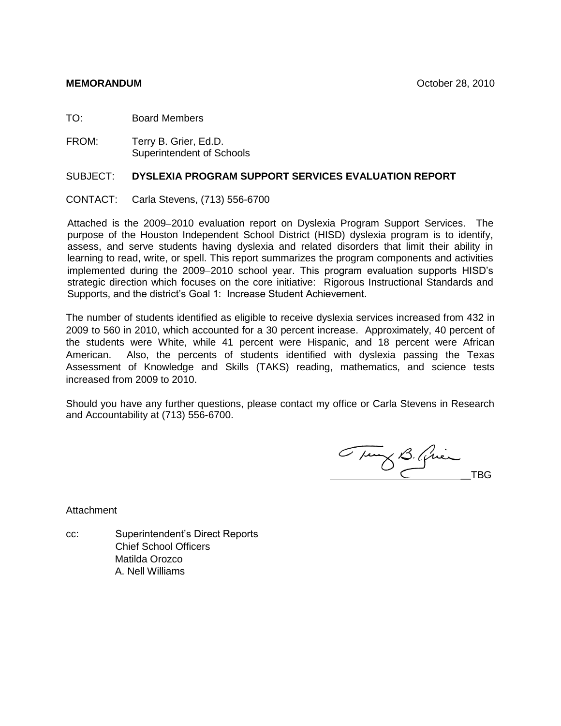TO: Board Members

FROM: Terry B. Grier, Ed.D. Superintendent of Schools

#### SUBJECT: **DYSLEXIA PROGRAM SUPPORT SERVICES EVALUATION REPORT**

CONTACT: Carla Stevens, (713) 556-6700

Attached is the 2009–2010 evaluation report on Dyslexia Program Support Services. The purpose of the Houston Independent School District (HISD) dyslexia program is to identify, assess, and serve students having dyslexia and related disorders that limit their ability in learning to read, write, or spell. This report summarizes the program components and activities implemented during the 2009–2010 school year. This program evaluation supports HISD's strategic direction which focuses on the core initiative: Rigorous Instructional Standards and Supports, and the district's Goal 1: Increase Student Achievement.

The number of students identified as eligible to receive dyslexia services increased from 432 in 2009 to 560 in 2010, which accounted for a 30 percent increase. Approximately, 40 percent of the students were White, while 41 percent were Hispanic, and 18 percent were African American. Also, the percents of students identified with dyslexia passing the Texas Assessment of Knowledge and Skills (TAKS) reading, mathematics, and science tests increased from 2009 to 2010.

Should you have any further questions, please contact my office or Carla Stevens in Research and Accountability at (713) 556-6700.

Tung B. Quin

**Attachment** 

cc: Superintendent's Direct Reports Chief School Officers Matilda Orozco A. Nell Williams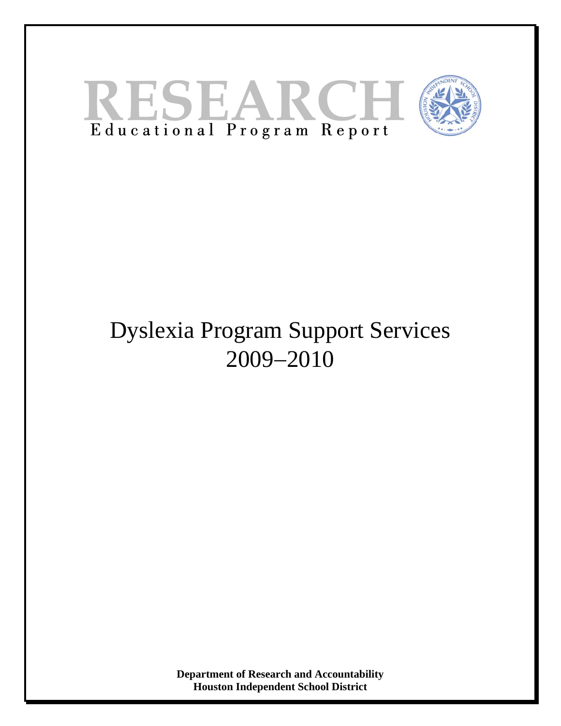



# Dyslexia Program Support Services 2009−2010

**Department of Research and Accountability Houston Independent School District**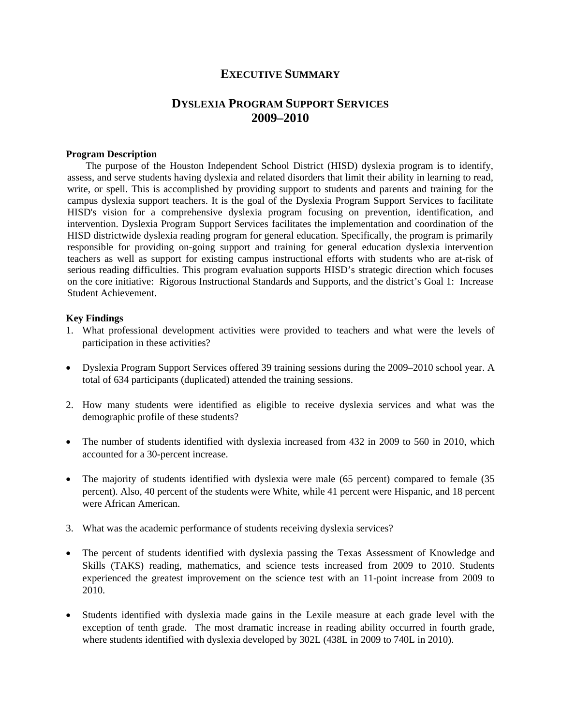#### **EXECUTIVE SUMMARY**

## **DYSLEXIA PROGRAM SUPPORT SERVICES 2009–2010**

#### **Program Description**

 The purpose of the Houston Independent School District (HISD) dyslexia program is to identify, assess, and serve students having dyslexia and related disorders that limit their ability in learning to read, write, or spell. This is accomplished by providing support to students and parents and training for the campus dyslexia support teachers. It is the goal of the Dyslexia Program Support Services to facilitate HISD's vision for a comprehensive dyslexia program focusing on prevention, identification, and intervention. Dyslexia Program Support Services facilitates the implementation and coordination of the HISD districtwide dyslexia reading program for general education. Specifically, the program is primarily responsible for providing on-going support and training for general education dyslexia intervention teachers as well as support for existing campus instructional efforts with students who are at-risk of serious reading difficulties. This program evaluation supports HISD's strategic direction which focuses on the core initiative: Rigorous Instructional Standards and Supports, and the district's Goal 1: Increase Student Achievement.

#### **Key Findings**

- 1. What professional development activities were provided to teachers and what were the levels of participation in these activities?
- Dyslexia Program Support Services offered 39 training sessions during the 2009–2010 school year. A total of 634 participants (duplicated) attended the training sessions.
- 2. How many students were identified as eligible to receive dyslexia services and what was the demographic profile of these students?
- The number of students identified with dyslexia increased from 432 in 2009 to 560 in 2010, which accounted for a 30-percent increase.
- The majority of students identified with dyslexia were male (65 percent) compared to female (35 percent). Also, 40 percent of the students were White, while 41 percent were Hispanic, and 18 percent were African American.
- 3. What was the academic performance of students receiving dyslexia services?
- The percent of students identified with dyslexia passing the Texas Assessment of Knowledge and Skills (TAKS) reading, mathematics, and science tests increased from 2009 to 2010. Students experienced the greatest improvement on the science test with an 11-point increase from 2009 to 2010.
- Students identified with dyslexia made gains in the Lexile measure at each grade level with the exception of tenth grade. The most dramatic increase in reading ability occurred in fourth grade, where students identified with dyslexia developed by 302L (438L in 2009 to 740L in 2010).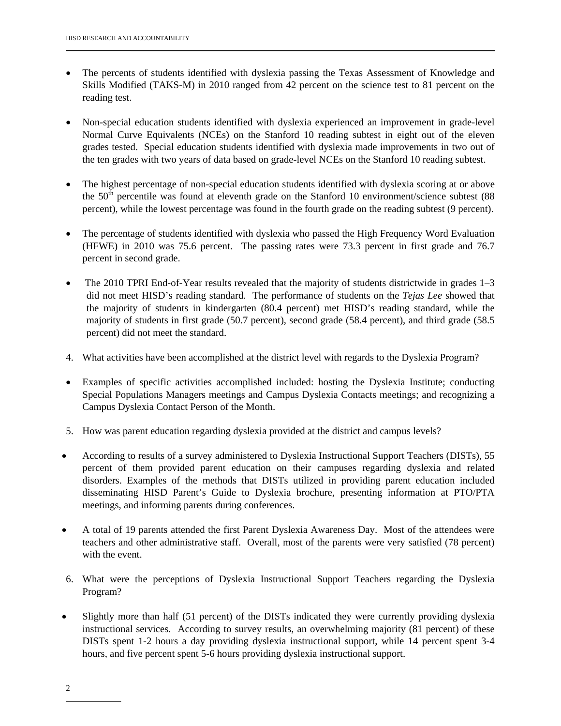- The percents of students identified with dyslexia passing the Texas Assessment of Knowledge and Skills Modified (TAKS-M) in 2010 ranged from 42 percent on the science test to 81 percent on the reading test.
- Non-special education students identified with dyslexia experienced an improvement in grade-level Normal Curve Equivalents (NCEs) on the Stanford 10 reading subtest in eight out of the eleven grades tested. Special education students identified with dyslexia made improvements in two out of the ten grades with two years of data based on grade-level NCEs on the Stanford 10 reading subtest.
- The highest percentage of non-special education students identified with dyslexia scoring at or above the  $50<sup>th</sup>$  percentile was found at eleventh grade on the Stanford 10 environment/science subtest (88 percent), while the lowest percentage was found in the fourth grade on the reading subtest (9 percent).
- The percentage of students identified with dyslexia who passed the High Frequency Word Evaluation (HFWE) in 2010 was 75.6 percent. The passing rates were 73.3 percent in first grade and 76.7 percent in second grade.
- The 2010 TPRI End-of-Year results revealed that the majority of students districtwide in grades 1–3 did not meet HISD's reading standard. The performance of students on the *Tejas Lee* showed that the majority of students in kindergarten (80.4 percent) met HISD's reading standard, while the majority of students in first grade (50.7 percent), second grade (58.4 percent), and third grade (58.5 percent) did not meet the standard.
- 4. What activities have been accomplished at the district level with regards to the Dyslexia Program?
- Examples of specific activities accomplished included: hosting the Dyslexia Institute; conducting Special Populations Managers meetings and Campus Dyslexia Contacts meetings; and recognizing a Campus Dyslexia Contact Person of the Month.
- 5. How was parent education regarding dyslexia provided at the district and campus levels?
- According to results of a survey administered to Dyslexia Instructional Support Teachers (DISTs), 55 percent of them provided parent education on their campuses regarding dyslexia and related disorders. Examples of the methods that DISTs utilized in providing parent education included disseminating HISD Parent's Guide to Dyslexia brochure, presenting information at PTO/PTA meetings, and informing parents during conferences.
- A total of 19 parents attended the first Parent Dyslexia Awareness Day. Most of the attendees were teachers and other administrative staff. Overall, most of the parents were very satisfied (78 percent) with the event.
- 6. What were the perceptions of Dyslexia Instructional Support Teachers regarding the Dyslexia Program?
- Slightly more than half (51 percent) of the DISTs indicated they were currently providing dyslexia instructional services. According to survey results, an overwhelming majority (81 percent) of these DISTs spent 1-2 hours a day providing dyslexia instructional support, while 14 percent spent 3-4 hours, and five percent spent 5-6 hours providing dyslexia instructional support.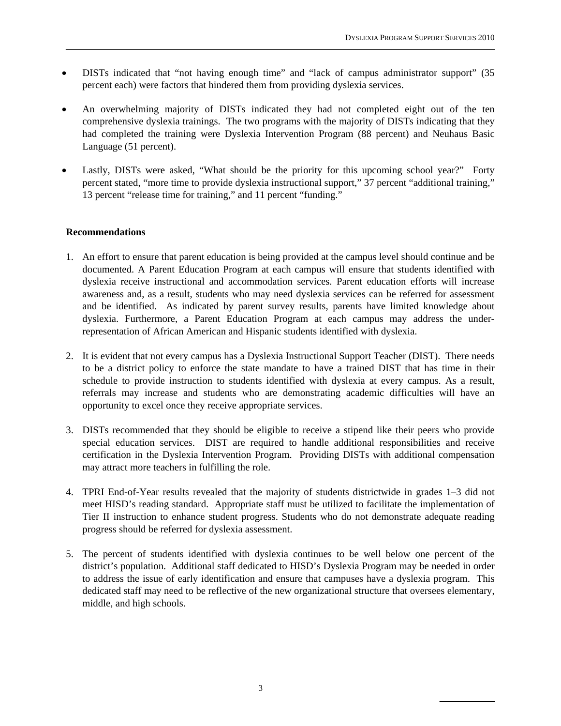- DISTs indicated that "not having enough time" and "lack of campus administrator support" (35 percent each) were factors that hindered them from providing dyslexia services.
- An overwhelming majority of DISTs indicated they had not completed eight out of the ten comprehensive dyslexia trainings. The two programs with the majority of DISTs indicating that they had completed the training were Dyslexia Intervention Program (88 percent) and Neuhaus Basic Language (51 percent).
- Lastly, DISTs were asked, "What should be the priority for this upcoming school year?" Forty percent stated, "more time to provide dyslexia instructional support," 37 percent "additional training," 13 percent "release time for training," and 11 percent "funding."

#### **Recommendations**

- 1. An effort to ensure that parent education is being provided at the campus level should continue and be documented. A Parent Education Program at each campus will ensure that students identified with dyslexia receive instructional and accommodation services. Parent education efforts will increase awareness and, as a result, students who may need dyslexia services can be referred for assessment and be identified. As indicated by parent survey results, parents have limited knowledge about dyslexia. Furthermore, a Parent Education Program at each campus may address the underrepresentation of African American and Hispanic students identified with dyslexia.
- 2. It is evident that not every campus has a Dyslexia Instructional Support Teacher (DIST). There needs to be a district policy to enforce the state mandate to have a trained DIST that has time in their schedule to provide instruction to students identified with dyslexia at every campus. As a result, referrals may increase and students who are demonstrating academic difficulties will have an opportunity to excel once they receive appropriate services.
- 3. DISTs recommended that they should be eligible to receive a stipend like their peers who provide special education services. DIST are required to handle additional responsibilities and receive certification in the Dyslexia Intervention Program. Providing DISTs with additional compensation may attract more teachers in fulfilling the role.
- 4. TPRI End-of-Year results revealed that the majority of students districtwide in grades 1–3 did not meet HISD's reading standard. Appropriate staff must be utilized to facilitate the implementation of Tier II instruction to enhance student progress. Students who do not demonstrate adequate reading progress should be referred for dyslexia assessment.
- 5. The percent of students identified with dyslexia continues to be well below one percent of the district's population. Additional staff dedicated to HISD's Dyslexia Program may be needed in order to address the issue of early identification and ensure that campuses have a dyslexia program. This dedicated staff may need to be reflective of the new organizational structure that oversees elementary, middle, and high schools.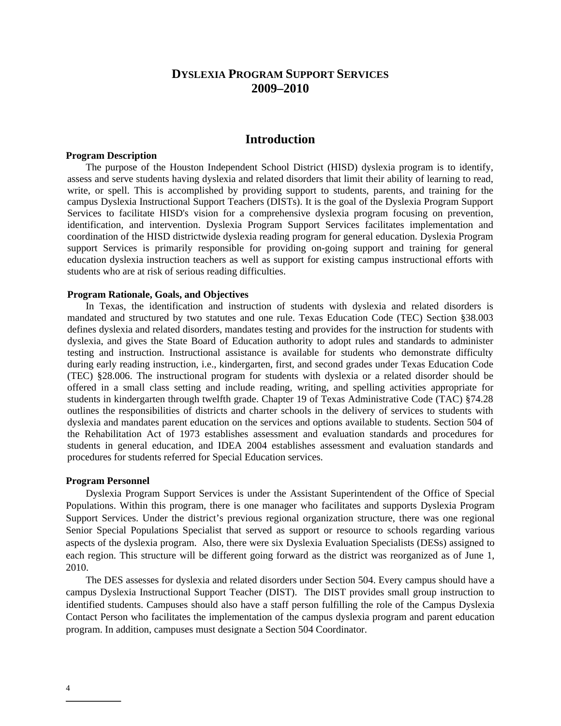## **DYSLEXIA PROGRAM SUPPORT SERVICES 2009–2010**

#### **Introduction**

#### **Program Description**

 The purpose of the Houston Independent School District (HISD) dyslexia program is to identify, assess and serve students having dyslexia and related disorders that limit their ability of learning to read, write, or spell. This is accomplished by providing support to students, parents, and training for the campus Dyslexia Instructional Support Teachers (DISTs). It is the goal of the Dyslexia Program Support Services to facilitate HISD's vision for a comprehensive dyslexia program focusing on prevention, identification, and intervention. Dyslexia Program Support Services facilitates implementation and coordination of the HISD districtwide dyslexia reading program for general education. Dyslexia Program support Services is primarily responsible for providing on-going support and training for general education dyslexia instruction teachers as well as support for existing campus instructional efforts with students who are at risk of serious reading difficulties.

#### **Program Rationale, Goals, and Objectives**

In Texas, the identification and instruction of students with dyslexia and related disorders is mandated and structured by two statutes and one rule. Texas Education Code (TEC) Section §38.003 defines dyslexia and related disorders, mandates testing and provides for the instruction for students with dyslexia, and gives the State Board of Education authority to adopt rules and standards to administer testing and instruction. Instructional assistance is available for students who demonstrate difficulty during early reading instruction, i.e., kindergarten, first, and second grades under Texas Education Code (TEC) §28.006. The instructional program for students with dyslexia or a related disorder should be offered in a small class setting and include reading, writing, and spelling activities appropriate for students in kindergarten through twelfth grade. Chapter 19 of Texas Administrative Code (TAC) §74.28 outlines the responsibilities of districts and charter schools in the delivery of services to students with dyslexia and mandates parent education on the services and options available to students. Section 504 of the Rehabilitation Act of 1973 establishes assessment and evaluation standards and procedures for students in general education, and IDEA 2004 establishes assessment and evaluation standards and procedures for students referred for Special Education services.

#### **Program Personnel**

Dyslexia Program Support Services is under the Assistant Superintendent of the Office of Special Populations. Within this program, there is one manager who facilitates and supports Dyslexia Program Support Services. Under the district's previous regional organization structure, there was one regional Senior Special Populations Specialist that served as support or resource to schools regarding various aspects of the dyslexia program. Also, there were six Dyslexia Evaluation Specialists (DESs) assigned to each region. This structure will be different going forward as the district was reorganized as of June 1, 2010.

The DES assesses for dyslexia and related disorders under Section 504. Every campus should have a campus Dyslexia Instructional Support Teacher (DIST). The DIST provides small group instruction to identified students. Campuses should also have a staff person fulfilling the role of the Campus Dyslexia Contact Person who facilitates the implementation of the campus dyslexia program and parent education program. In addition, campuses must designate a Section 504 Coordinator.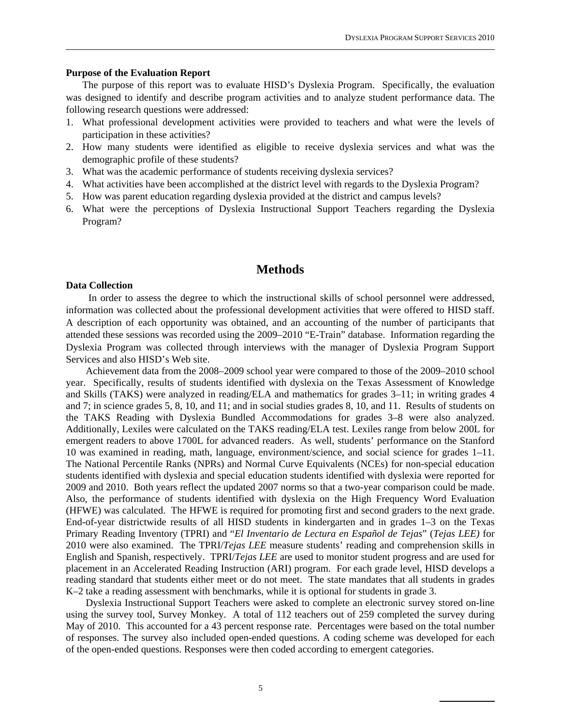#### **Purpose of the Evaluation Report**

The purpose of this report was to evaluate HISD's Dyslexia Program. Specifically, the evaluation was designed to identify and describe program activities and to analyze student performance data. The following research questions were addressed:

- 1. What professional development activities were provided to teachers and what were the levels of participation in these activities?
- 2. How many students were identified as eligible to receive dyslexia services and what was the demographic profile of these students?
- 3. What was the academic performance of students receiving dyslexia services?
- 4. What activities have been accomplished at the district level with regards to the Dyslexia Program?
- 5. How was parent education regarding dyslexia provided at the district and campus levels?
- 6. What were the perceptions of Dyslexia Instructional Support Teachers regarding the Dyslexia Program?

#### **Methods**

#### **Data Collection**

In order to assess the degree to which the instructional skills of school personnel were addressed, information was collected about the professional development activities that were offered to HISD staff. A description of each opportunity was obtained, and an accounting of the number of participants that attended these sessions was recorded using the 2009–2010 "E-Train" database. Information regarding the Dyslexia Program was collected through interviews with the manager of Dyslexia Program Support Services and also HISD's Web site.

 Achievement data from the 2008–2009 school year were compared to those of the 2009–2010 school year. Specifically, results of students identified with dyslexia on the Texas Assessment of Knowledge and Skills (TAKS) were analyzed in reading/ELA and mathematics for grades 3–11; in writing grades 4 and 7; in science grades 5, 8, 10, and 11; and in social studies grades 8, 10, and 11. Results of students on the TAKS Reading with Dyslexia Bundled Accommodations for grades 3–8 were also analyzed. Additionally, Lexiles were calculated on the TAKS reading/ELA test. Lexiles range from below 200L for emergent readers to above 1700L for advanced readers. As well, students' performance on the Stanford 10 was examined in reading, math, language, environment/science, and social science for grades 1–11. The National Percentile Ranks (NPRs) and Normal Curve Equivalents (NCEs) for non-special education students identified with dyslexia and special education students identified with dyslexia were reported for 2009 and 2010. Both years reflect the updated 2007 norms so that a two-year comparison could be made. Also, the performance of students identified with dyslexia on the High Frequency Word Evaluation (HFWE) was calculated. The HFWE is required for promoting first and second graders to the next grade. End-of-year districtwide results of all HISD students in kindergarten and in grades 1–3 on the Texas Primary Reading Inventory (TPRI) and "*El Inventario de Lectura en Español de Tejas*" (*Tejas LEE)* for 2010 were also examined. The TPRI/*Tejas LEE* measure students' reading and comprehension skills in English and Spanish, respectively. TPRI/*Tejas LEE* are used to monitor student progress and are used for placement in an Accelerated Reading Instruction (ARI) program. For each grade level, HISD develops a reading standard that students either meet or do not meet. The state mandates that all students in grades K–2 take a reading assessment with benchmarks, while it is optional for students in grade 3.

 Dyslexia Instructional Support Teachers were asked to complete an electronic survey stored on-line using the survey tool, Survey Monkey. A total of 112 teachers out of 259 completed the survey during May of 2010. This accounted for a 43 percent response rate. Percentages were based on the total number of responses. The survey also included open-ended questions. A coding scheme was developed for each of the open-ended questions. Responses were then coded according to emergent categories.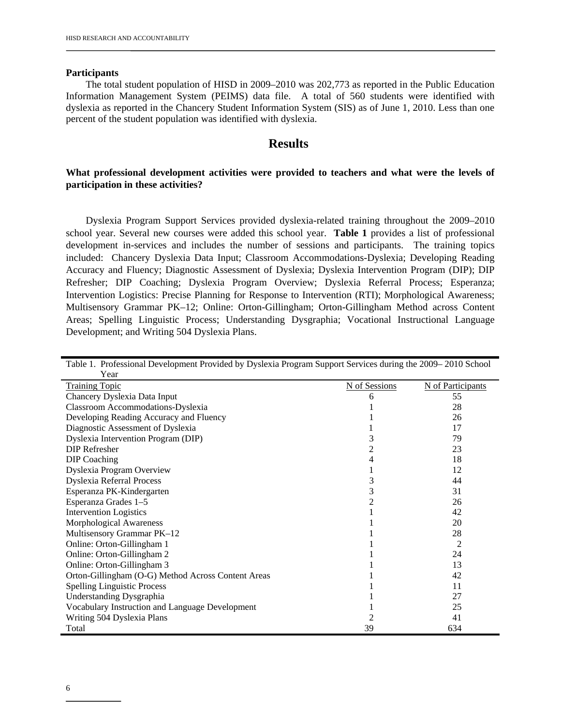#### **Participants**

The total student population of HISD in 2009–2010 was 202,773 as reported in the Public Education Information Management System (PEIMS) data file. A total of 560 students were identified with dyslexia as reported in the Chancery Student Information System (SIS) as of June 1, 2010. Less than one percent of the student population was identified with dyslexia.

#### **Results**

#### **What professional development activities were provided to teachers and what were the levels of participation in these activities?**

 Dyslexia Program Support Services provided dyslexia-related training throughout the 2009–2010 school year. Several new courses were added this school year. **Table 1** provides a list of professional development in-services and includes the number of sessions and participants. The training topics included: Chancery Dyslexia Data Input; Classroom Accommodations-Dyslexia; Developing Reading Accuracy and Fluency; Diagnostic Assessment of Dyslexia; Dyslexia Intervention Program (DIP); DIP Refresher; DIP Coaching; Dyslexia Program Overview; Dyslexia Referral Process; Esperanza; Intervention Logistics: Precise Planning for Response to Intervention (RTI); Morphological Awareness; Multisensory Grammar PK–12; Online: Orton-Gillingham; Orton-Gillingham Method across Content Areas; Spelling Linguistic Process; Understanding Dysgraphia; Vocational Instructional Language Development; and Writing 504 Dyslexia Plans.

| Table 1. Professional Development Provided by Dyslexia Program Support Services during the 2009–2010 School |               |                   |  |  |  |  |  |  |
|-------------------------------------------------------------------------------------------------------------|---------------|-------------------|--|--|--|--|--|--|
| Year                                                                                                        |               |                   |  |  |  |  |  |  |
| <b>Training Topic</b>                                                                                       | N of Sessions | N of Participants |  |  |  |  |  |  |
| Chancery Dyslexia Data Input                                                                                |               | 55                |  |  |  |  |  |  |
| Classroom Accommodations-Dyslexia                                                                           |               | 28                |  |  |  |  |  |  |
| Developing Reading Accuracy and Fluency                                                                     |               | 26                |  |  |  |  |  |  |
| Diagnostic Assessment of Dyslexia                                                                           |               | 17                |  |  |  |  |  |  |
| Dyslexia Intervention Program (DIP)                                                                         | 3             | 79                |  |  |  |  |  |  |
| <b>DIP</b> Refresher                                                                                        | 2             | 23                |  |  |  |  |  |  |
| DIP Coaching                                                                                                | 4             | 18                |  |  |  |  |  |  |
| Dyslexia Program Overview                                                                                   |               | 12                |  |  |  |  |  |  |
| <b>Dyslexia Referral Process</b>                                                                            | 3             | 44                |  |  |  |  |  |  |
| Esperanza PK-Kindergarten                                                                                   | 3             | 31                |  |  |  |  |  |  |
| Esperanza Grades 1-5                                                                                        | 2             | 26                |  |  |  |  |  |  |
| <b>Intervention Logistics</b>                                                                               |               | 42                |  |  |  |  |  |  |
| Morphological Awareness                                                                                     |               | 20                |  |  |  |  |  |  |
| Multisensory Grammar PK-12                                                                                  |               | 28                |  |  |  |  |  |  |
| Online: Orton-Gillingham 1                                                                                  |               | $\overline{2}$    |  |  |  |  |  |  |
| Online: Orton-Gillingham 2                                                                                  |               | 24                |  |  |  |  |  |  |
| Online: Orton-Gillingham 3                                                                                  |               | 13                |  |  |  |  |  |  |
| Orton-Gillingham (O-G) Method Across Content Areas                                                          |               | 42                |  |  |  |  |  |  |
| <b>Spelling Linguistic Process</b>                                                                          |               | 11                |  |  |  |  |  |  |
| <b>Understanding Dysgraphia</b>                                                                             |               | 27                |  |  |  |  |  |  |
| Vocabulary Instruction and Language Development                                                             |               | 25                |  |  |  |  |  |  |
| Writing 504 Dyslexia Plans                                                                                  |               | 41                |  |  |  |  |  |  |
| Total                                                                                                       | 39            | 634               |  |  |  |  |  |  |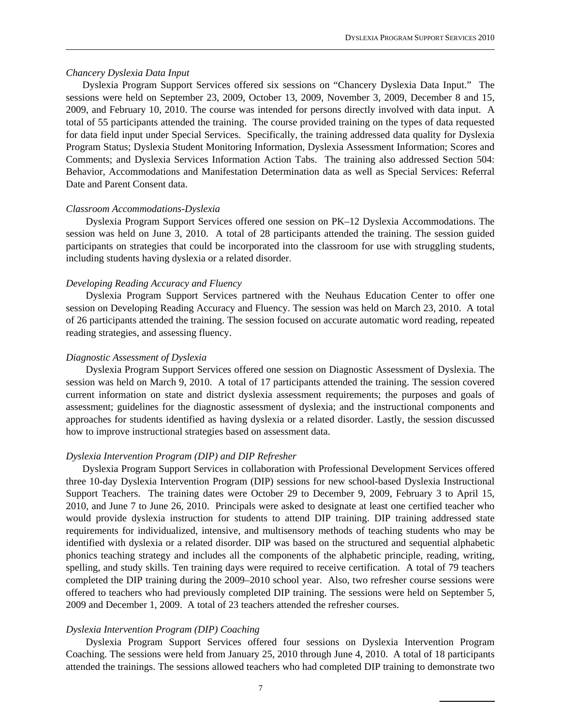#### *Chancery Dyslexia Data Input*

Dyslexia Program Support Services offered six sessions on "Chancery Dyslexia Data Input." The sessions were held on September 23, 2009, October 13, 2009, November 3, 2009, December 8 and 15, 2009, and February 10, 2010. The course was intended for persons directly involved with data input. A total of 55 participants attended the training. The course provided training on the types of data requested for data field input under Special Services. Specifically, the training addressed data quality for Dyslexia Program Status; Dyslexia Student Monitoring Information, Dyslexia Assessment Information; Scores and Comments; and Dyslexia Services Information Action Tabs. The training also addressed Section 504: Behavior, Accommodations and Manifestation Determination data as well as Special Services: Referral Date and Parent Consent data.

#### *Classroom Accommodations-Dyslexia*

Dyslexia Program Support Services offered one session on PK–12 Dyslexia Accommodations. The session was held on June 3, 2010. A total of 28 participants attended the training. The session guided participants on strategies that could be incorporated into the classroom for use with struggling students, including students having dyslexia or a related disorder.

#### *Developing Reading Accuracy and Fluency*

Dyslexia Program Support Services partnered with the Neuhaus Education Center to offer one session on Developing Reading Accuracy and Fluency. The session was held on March 23, 2010. A total of 26 participants attended the training. The session focused on accurate automatic word reading, repeated reading strategies, and assessing fluency.

#### *Diagnostic Assessment of Dyslexia*

Dyslexia Program Support Services offered one session on Diagnostic Assessment of Dyslexia. The session was held on March 9, 2010. A total of 17 participants attended the training. The session covered current information on state and district dyslexia assessment requirements; the purposes and goals of assessment; guidelines for the diagnostic assessment of dyslexia; and the instructional components and approaches for students identified as having dyslexia or a related disorder. Lastly, the session discussed how to improve instructional strategies based on assessment data.

#### *Dyslexia Intervention Program (DIP) and DIP Refresher*

Dyslexia Program Support Services in collaboration with Professional Development Services offered three 10-day Dyslexia Intervention Program (DIP) sessions for new school-based Dyslexia Instructional Support Teachers. The training dates were October 29 to December 9, 2009, February 3 to April 15, 2010, and June 7 to June 26, 2010. Principals were asked to designate at least one certified teacher who would provide dyslexia instruction for students to attend DIP training. DIP training addressed state requirements for individualized, intensive, and multisensory methods of teaching students who may be identified with dyslexia or a related disorder. DIP was based on the structured and sequential alphabetic phonics teaching strategy and includes all the components of the alphabetic principle, reading, writing, spelling, and study skills. Ten training days were required to receive certification. A total of 79 teachers completed the DIP training during the 2009–2010 school year. Also, two refresher course sessions were offered to teachers who had previously completed DIP training. The sessions were held on September 5, 2009 and December 1, 2009. A total of 23 teachers attended the refresher courses.

#### *Dyslexia Intervention Program (DIP) Coaching*

 Dyslexia Program Support Services offered four sessions on Dyslexia Intervention Program Coaching. The sessions were held from January 25, 2010 through June 4, 2010. A total of 18 participants attended the trainings. The sessions allowed teachers who had completed DIP training to demonstrate two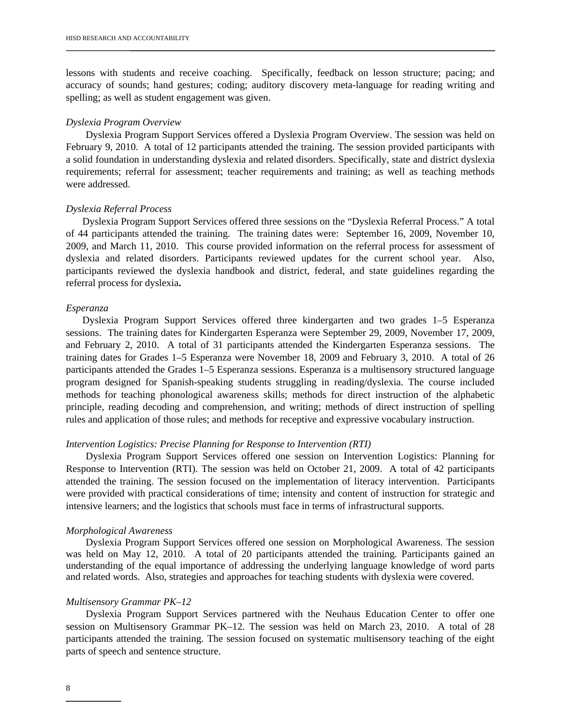lessons with students and receive coaching. Specifically, feedback on lesson structure; pacing; and accuracy of sounds; hand gestures; coding; auditory discovery meta-language for reading writing and spelling; as well as student engagement was given.

#### *Dyslexia Program Overview*

Dyslexia Program Support Services offered a Dyslexia Program Overview. The session was held on February 9, 2010. A total of 12 participants attended the training. The session provided participants with a solid foundation in understanding dyslexia and related disorders. Specifically, state and district dyslexia requirements; referral for assessment; teacher requirements and training; as well as teaching methods were addressed.

#### *Dyslexia Referral Process*

Dyslexia Program Support Services offered three sessions on the "Dyslexia Referral Process." A total of 44 participants attended the training. The training dates were: September 16, 2009, November 10, 2009, and March 11, 2010. This course provided information on the referral process for assessment of dyslexia and related disorders. Participants reviewed updates for the current school year. Also, participants reviewed the dyslexia handbook and district, federal, and state guidelines regarding the referral process for dyslexia**.** 

#### *Esperanza*

Dyslexia Program Support Services offered three kindergarten and two grades 1–5 Esperanza sessions. The training dates for Kindergarten Esperanza were September 29, 2009, November 17, 2009, and February 2, 2010. A total of 31 participants attended the Kindergarten Esperanza sessions. The training dates for Grades 1–5 Esperanza were November 18, 2009 and February 3, 2010. A total of 26 participants attended the Grades 1–5 Esperanza sessions. Esperanza is a multisensory structured language program designed for Spanish-speaking students struggling in reading/dyslexia. The course included methods for teaching phonological awareness skills; methods for direct instruction of the alphabetic principle, reading decoding and comprehension, and writing; methods of direct instruction of spelling rules and application of those rules; and methods for receptive and expressive vocabulary instruction.

#### *Intervention Logistics: Precise Planning for Response to Intervention (RTI)*

Dyslexia Program Support Services offered one session on Intervention Logistics: Planning for Response to Intervention (RTI). The session was held on October 21, 2009. A total of 42 participants attended the training. The session focused on the implementation of literacy intervention. Participants were provided with practical considerations of time; intensity and content of instruction for strategic and intensive learners; and the logistics that schools must face in terms of infrastructural supports.

#### *Morphological Awareness*

Dyslexia Program Support Services offered one session on Morphological Awareness. The session was held on May 12, 2010. A total of 20 participants attended the training. Participants gained an understanding of the equal importance of addressing the underlying language knowledge of word parts and related words. Also, strategies and approaches for teaching students with dyslexia were covered.

#### *Multisensory Grammar PK–12*

Dyslexia Program Support Services partnered with the Neuhaus Education Center to offer one session on Multisensory Grammar PK–12. The session was held on March 23, 2010. A total of 28 participants attended the training. The session focused on systematic multisensory teaching of the eight parts of speech and sentence structure.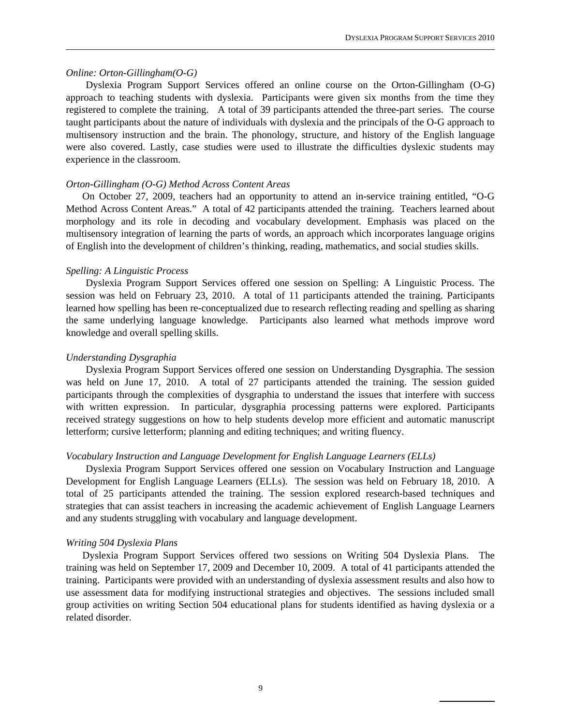#### *Online: Orton-Gillingham(O-G)*

Dyslexia Program Support Services offered an online course on the Orton-Gillingham (O-G) approach to teaching students with dyslexia. Participants were given six months from the time they registered to complete the training. A total of 39 participants attended the three-part series. The course taught participants about the nature of individuals with dyslexia and the principals of the O-G approach to multisensory instruction and the brain. The phonology, structure, and history of the English language were also covered. Lastly, case studies were used to illustrate the difficulties dyslexic students may experience in the classroom.

#### *Orton-Gillingham (O-G) Method Across Content Areas*

 On October 27, 2009, teachers had an opportunity to attend an in-service training entitled, "O-G Method Across Content Areas." A total of 42 participants attended the training. Teachers learned about morphology and its role in decoding and vocabulary development. Emphasis was placed on the multisensory integration of learning the parts of words, an approach which incorporates language origins of English into the development of children's thinking, reading, mathematics, and social studies skills.

#### *Spelling: A Linguistic Process*

Dyslexia Program Support Services offered one session on Spelling: A Linguistic Process. The session was held on February 23, 2010. A total of 11 participants attended the training. Participants learned how spelling has been re-conceptualized due to research reflecting reading and spelling as sharing the same underlying language knowledge. Participants also learned what methods improve word knowledge and overall spelling skills.

#### *Understanding Dysgraphia*

Dyslexia Program Support Services offered one session on Understanding Dysgraphia. The session was held on June 17, 2010. A total of 27 participants attended the training. The session guided participants through the complexities of dysgraphia to understand the issues that interfere with success with written expression. In particular, dysgraphia processing patterns were explored. Participants received strategy suggestions on how to help students develop more efficient and automatic manuscript letterform; cursive letterform; planning and editing techniques; and writing fluency.

#### *Vocabulary Instruction and Language Development for English Language Learners (ELLs)*

Dyslexia Program Support Services offered one session on Vocabulary Instruction and Language Development for English Language Learners (ELLs). The session was held on February 18, 2010. A total of 25 participants attended the training. The session explored research-based techniques and strategies that can assist teachers in increasing the academic achievement of English Language Learners and any students struggling with vocabulary and language development.

#### *Writing 504 Dyslexia Plans*

Dyslexia Program Support Services offered two sessions on Writing 504 Dyslexia Plans. The training was held on September 17, 2009 and December 10, 2009. A total of 41 participants attended the training. Participants were provided with an understanding of dyslexia assessment results and also how to use assessment data for modifying instructional strategies and objectives. The sessions included small group activities on writing Section 504 educational plans for students identified as having dyslexia or a related disorder.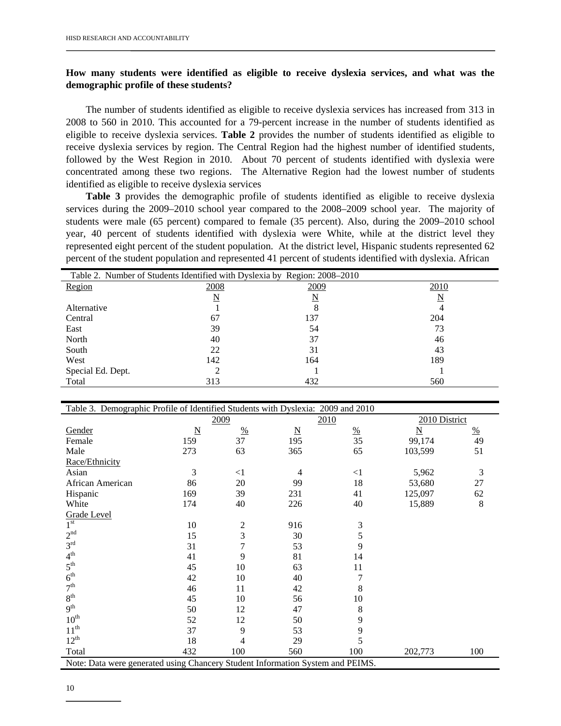#### **How many students were identified as eligible to receive dyslexia services, and what was the demographic profile of these students?**

The number of students identified as eligible to receive dyslexia services has increased from 313 in 2008 to 560 in 2010. This accounted for a 79-percent increase in the number of students identified as eligible to receive dyslexia services. **Table 2** provides the number of students identified as eligible to receive dyslexia services by region. The Central Region had the highest number of identified students, followed by the West Region in 2010. About 70 percent of students identified with dyslexia were concentrated among these two regions. The Alternative Region had the lowest number of students identified as eligible to receive dyslexia services

**Table 3** provides the demographic profile of students identified as eligible to receive dyslexia services during the 2009–2010 school year compared to the 2008–2009 school year. The majority of students were male (65 percent) compared to female (35 percent). Also, during the 2009–2010 school year, 40 percent of students identified with dyslexia were White, while at the district level they represented eight percent of the student population. At the district level, Hispanic students represented 62 percent of the student population and represented 41 percent of students identified with dyslexia. African

| Table 2. Number of Students Identified with Dyslexia by Region: 2008–2010 |      |      |      |  |  |  |  |  |
|---------------------------------------------------------------------------|------|------|------|--|--|--|--|--|
| Region                                                                    | 2008 | 2009 | 2010 |  |  |  |  |  |
|                                                                           | N    | N    | N    |  |  |  |  |  |
| Alternative                                                               |      |      |      |  |  |  |  |  |
| Central                                                                   | 67   | 137  | 204  |  |  |  |  |  |
| East                                                                      | 39   | 54   | 73   |  |  |  |  |  |
| North                                                                     | 40   | 37   | 46   |  |  |  |  |  |
| South                                                                     | 22   | 31   | 43   |  |  |  |  |  |
| West                                                                      | 142  | 164  | 189  |  |  |  |  |  |
| Special Ed. Dept.                                                         |      |      |      |  |  |  |  |  |
| Total                                                                     | 313  | 432  | 560  |  |  |  |  |  |

| Table 3. Demographic Profile of Identified Students with Dyslexia: 2009 and 2010 |                 |                |                          |                 |                          |         |  |
|----------------------------------------------------------------------------------|-----------------|----------------|--------------------------|-----------------|--------------------------|---------|--|
|                                                                                  |                 | 2009           |                          | 2010            | 2010 District            |         |  |
| Gender                                                                           | $\underline{N}$ | $\frac{0}{0}$  | $\underline{\mathbf{N}}$ | $\frac{\%}{35}$ | $\underline{\mathbf{N}}$ | %       |  |
| Female                                                                           | 159             | 37             | 195                      |                 | 99,174                   | 49      |  |
| Male                                                                             | 273             | 63             | 365                      | 65              | 103,599                  | 51      |  |
| Race/Ethnicity                                                                   |                 |                |                          |                 |                          |         |  |
| Asian                                                                            | 3               | $\leq$ 1       | 4                        | $\leq$ 1        | 5,962                    | 3       |  |
| African American                                                                 | 86              | 20             | 99                       | 18              | 53,680                   | 27      |  |
| Hispanic                                                                         | 169             | 39             | 231                      | 41              | 125,097                  | 62      |  |
| White                                                                            | 174             | 40             | 226                      | 40              | 15,889                   | $\,8\,$ |  |
| Grade Level                                                                      |                 |                |                          |                 |                          |         |  |
| $1^{\rm st}$                                                                     | 10              | $\overline{c}$ | 916                      | 3               |                          |         |  |
| 2 <sup>nd</sup>                                                                  | 15              | 3              | 30                       | 5               |                          |         |  |
| 3 <sup>rd</sup>                                                                  | 31              | 7              | 53                       | 9               |                          |         |  |
| 4 <sup>th</sup>                                                                  | 41              | 9              | 81                       | 14              |                          |         |  |
| 5 <sup>th</sup>                                                                  | 45              | 10             | 63                       | 11              |                          |         |  |
| 6 <sup>th</sup>                                                                  | 42              | 10             | 40                       | 7               |                          |         |  |
| 7 <sup>th</sup>                                                                  | 46              | 11             | 42                       | 8               |                          |         |  |
| 8 <sup>th</sup>                                                                  | 45              | 10             | 56                       | 10              |                          |         |  |
| 9 <sup>th</sup>                                                                  | 50              | 12             | 47                       | 8               |                          |         |  |
| $10^{\text{th}}$                                                                 | 52              | 12             | 50                       | 9               |                          |         |  |
| $11^{\text{th}}$                                                                 | 37              | 9              | 53                       | 9               |                          |         |  |
| $12^{th}$                                                                        | 18              | 4              | 29                       | 5               |                          |         |  |
| Total                                                                            | 432             | 100            | 560                      | 100             | 202,773                  | 100     |  |
| Note: Data were generated using Chancery Student Information System and PEIMS.   |                 |                |                          |                 |                          |         |  |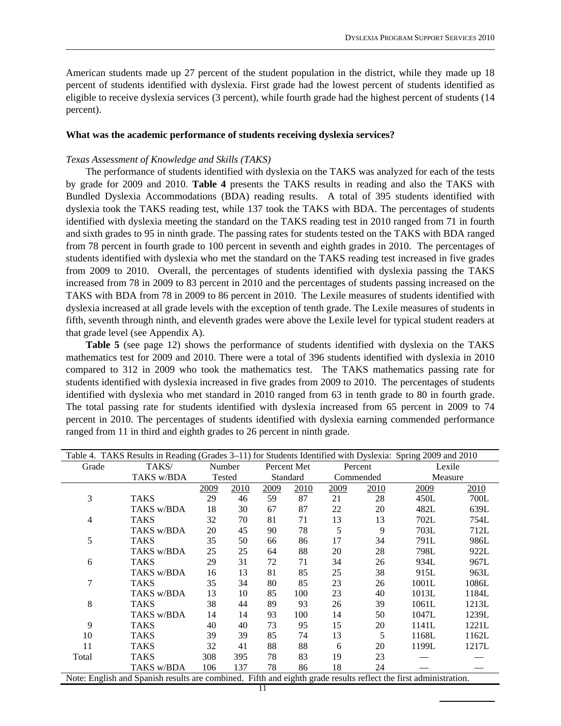American students made up 27 percent of the student population in the district, while they made up 18 percent of students identified with dyslexia. First grade had the lowest percent of students identified as eligible to receive dyslexia services (3 percent), while fourth grade had the highest percent of students (14 percent).

#### **What was the academic performance of students receiving dyslexia services?**

#### *Texas Assessment of Knowledge and Skills (TAKS)*

 The performance of students identified with dyslexia on the TAKS was analyzed for each of the tests by grade for 2009 and 2010. **Table 4** presents the TAKS results in reading and also the TAKS with Bundled Dyslexia Accommodations (BDA) reading results. A total of 395 students identified with dyslexia took the TAKS reading test, while 137 took the TAKS with BDA. The percentages of students identified with dyslexia meeting the standard on the TAKS reading test in 2010 ranged from 71 in fourth and sixth grades to 95 in ninth grade. The passing rates for students tested on the TAKS with BDA ranged from 78 percent in fourth grade to 100 percent in seventh and eighth grades in 2010. The percentages of students identified with dyslexia who met the standard on the TAKS reading test increased in five grades from 2009 to 2010. Overall, the percentages of students identified with dyslexia passing the TAKS increased from 78 in 2009 to 83 percent in 2010 and the percentages of students passing increased on the TAKS with BDA from 78 in 2009 to 86 percent in 2010. The Lexile measures of students identified with dyslexia increased at all grade levels with the exception of tenth grade. The Lexile measures of students in fifth, seventh through ninth, and eleventh grades were above the Lexile level for typical student readers at that grade level (see Appendix A).

 **Table 5** (see page 12) shows the performance of students identified with dyslexia on the TAKS mathematics test for 2009 and 2010. There were a total of 396 students identified with dyslexia in 2010 compared to 312 in 2009 who took the mathematics test. The TAKS mathematics passing rate for students identified with dyslexia increased in five grades from 2009 to 2010. The percentages of students identified with dyslexia who met standard in 2010 ranged from 63 in tenth grade to 80 in fourth grade. The total passing rate for students identified with dyslexia increased from 65 percent in 2009 to 74 percent in 2010. The percentages of students identified with dyslexia earning commended performance ranged from 11 in third and eighth grades to 26 percent in ninth grade.

| Table 4. TAKS Results in Reading (Grades 3–11) for Students Identified with Dyslexia: Spring 2009 and 2010 |                                                                                                                  |      |        |      |             |      |           |         |       |
|------------------------------------------------------------------------------------------------------------|------------------------------------------------------------------------------------------------------------------|------|--------|------|-------------|------|-----------|---------|-------|
| Grade                                                                                                      | TAKS/                                                                                                            |      | Number |      | Percent Met |      | Percent   | Lexile  |       |
|                                                                                                            | TAKS w/BDA                                                                                                       |      | Tested |      | Standard    |      | Commended | Measure |       |
|                                                                                                            |                                                                                                                  | 2009 | 2010   | 2009 | 2010        | 2009 | 2010      | 2009    | 2010  |
| 3                                                                                                          | <b>TAKS</b>                                                                                                      | 29   | 46     | 59   | 87          | 21   | 28        | 450L    | 700L  |
|                                                                                                            | TAKS w/BDA                                                                                                       | 18   | 30     | 67   | 87          | 22   | 20        | 482L    | 639L  |
| 4                                                                                                          | TAKS                                                                                                             | 32   | 70     | 81   | 71          | 13   | 13        | 702L    | 754L  |
|                                                                                                            | TAKS w/BDA                                                                                                       | 20   | 45     | 90   | 78          | 5    | 9         | 703L    | 712L  |
| 5                                                                                                          | <b>TAKS</b>                                                                                                      | 35   | 50     | 66   | 86          | 17   | 34        | 791L    | 986L  |
|                                                                                                            | TAKS w/BDA                                                                                                       | 25   | 25     | 64   | 88          | 20   | 28        | 798L    | 922L  |
| 6                                                                                                          | <b>TAKS</b>                                                                                                      | 29   | 31     | 72   | 71          | 34   | 26        | 934L    | 967L  |
|                                                                                                            | TAKS w/BDA                                                                                                       | 16   | 13     | 81   | 85          | 25   | 38        | 915L    | 963L  |
| 7                                                                                                          | <b>TAKS</b>                                                                                                      | 35   | 34     | 80   | 85          | 23   | 26        | 1001L   | 1086L |
|                                                                                                            | TAKS w/BDA                                                                                                       | 13   | 10     | 85   | 100         | 23   | 40        | 1013L   | 1184L |
| 8                                                                                                          | <b>TAKS</b>                                                                                                      | 38   | 44     | 89   | 93          | 26   | 39        | 1061L   | 1213L |
|                                                                                                            | TAKS w/BDA                                                                                                       | 14   | 14     | 93   | 100         | 14   | 50        | 1047L   | 1239L |
| 9                                                                                                          | <b>TAKS</b>                                                                                                      | 40   | 40     | 73   | 95          | 15   | 20        | 1141L   | 1221L |
| 10                                                                                                         | TAKS                                                                                                             | 39   | 39     | 85   | 74          | 13   | 5         | 1168L   | 1162L |
| 11                                                                                                         | TAKS                                                                                                             | 32   | 41     | 88   | 88          | 6    | 20        | 1199L   | 1217L |
| Total                                                                                                      | <b>TAKS</b>                                                                                                      | 308  | 395    | 78   | 83          | 19   | 23        |         |       |
|                                                                                                            | TAKS w/BDA                                                                                                       | 106  | 137    | 78   | 86          | 18   | 24        |         |       |
|                                                                                                            | Note: English and Spanish results are combined. Fifth and eighth grade results reflect the first administration. |      |        |      |             |      |           |         |       |
|                                                                                                            |                                                                                                                  |      |        | 11   |             |      |           |         |       |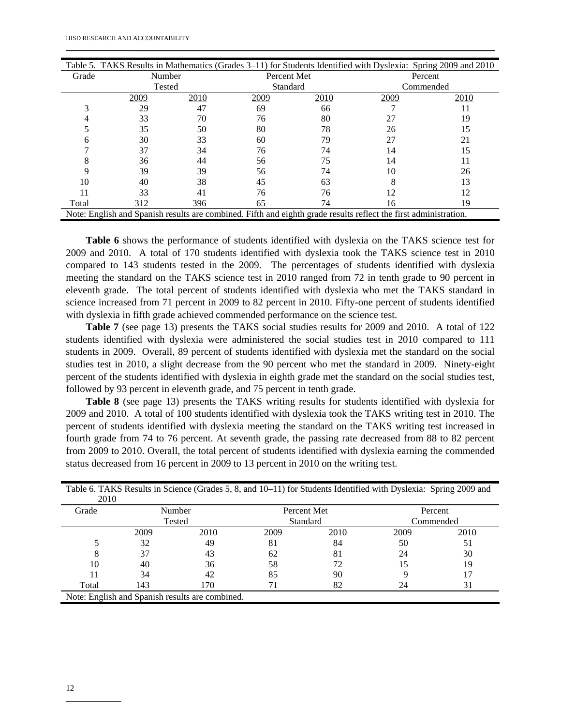|       | Table 5. TAKS Results in Mathematics (Grades 3–11) for Students Identified with Dyslexia: Spring 2009 and 2010   |      |             |      |         |           |  |
|-------|------------------------------------------------------------------------------------------------------------------|------|-------------|------|---------|-----------|--|
| Grade | Number                                                                                                           |      | Percent Met |      | Percent |           |  |
|       | Tested                                                                                                           |      | Standard    |      |         | Commended |  |
|       | 2009                                                                                                             | 2010 | 2009        | 2010 | 2009    | 2010      |  |
|       | 29                                                                                                               | 47   | 69          | 66   |         |           |  |
|       | 33                                                                                                               | 70   | 76          | 80   | 27      | 19        |  |
|       | 35                                                                                                               | 50   | 80          | 78   | 26      | 15        |  |
|       | 30                                                                                                               | 33   | 60          | 79   | 27      | 21        |  |
|       | 37                                                                                                               | 34   | 76          | 74   | 14      | 15        |  |
|       | 36                                                                                                               | 44   | 56          | 75   | 14      |           |  |
|       | 39                                                                                                               | 39   | 56          | 74   | 10      | 26        |  |
| 10    | 40                                                                                                               | 38   | 45          | 63   |         | 13        |  |
|       | 33                                                                                                               | 41   | 76          | 76   |         | 12        |  |
| Total | 312                                                                                                              | 396  | 65          | 74   | 16      | 19        |  |
|       | Note: English and Spanish results are combined. Fifth and eighth grade results reflect the first administration. |      |             |      |         |           |  |

 **Table 6** shows the performance of students identified with dyslexia on the TAKS science test for 2009 and 2010. A total of 170 students identified with dyslexia took the TAKS science test in 2010 compared to 143 students tested in the 2009. The percentages of students identified with dyslexia meeting the standard on the TAKS science test in 2010 ranged from 72 in tenth grade to 90 percent in eleventh grade. The total percent of students identified with dyslexia who met the TAKS standard in science increased from 71 percent in 2009 to 82 percent in 2010. Fifty-one percent of students identified with dyslexia in fifth grade achieved commended performance on the science test.

 **Table 7** (see page 13) presents the TAKS social studies results for 2009 and 2010. A total of 122 students identified with dyslexia were administered the social studies test in 2010 compared to 111 students in 2009. Overall, 89 percent of students identified with dyslexia met the standard on the social studies test in 2010, a slight decrease from the 90 percent who met the standard in 2009. Ninety-eight percent of the students identified with dyslexia in eighth grade met the standard on the social studies test, followed by 93 percent in eleventh grade, and 75 percent in tenth grade.

 **Table 8** (see page 13) presents the TAKS writing results for students identified with dyslexia for 2009 and 2010. A total of 100 students identified with dyslexia took the TAKS writing test in 2010. The percent of students identified with dyslexia meeting the standard on the TAKS writing test increased in fourth grade from 74 to 76 percent. At seventh grade, the passing rate decreased from 88 to 82 percent from 2009 to 2010. Overall, the total percent of students identified with dyslexia earning the commended status decreased from 16 percent in 2009 to 13 percent in 2010 on the writing test.

| 2010  |      |                                                 |      |             |           | $\overline{\phantom{a}}$ |  |
|-------|------|-------------------------------------------------|------|-------------|-----------|--------------------------|--|
| Grade |      | Number                                          |      | Percent Met | Percent   |                          |  |
|       |      | Tested                                          |      | Standard    | Commended |                          |  |
|       | 2009 | 2010                                            | 2009 | 2010        | 2009      | 2010                     |  |
|       | 32   | 49                                              | 81   | 84          | 50        | 51                       |  |
|       | 37   | 43                                              | 62   | 81          | 24        | 30                       |  |
| 10    | 40   | 36                                              | 58   | 72          | 15        | 19                       |  |
|       | 34   | 42                                              | 85   | 90          |           |                          |  |
| Total | 143  | 170                                             |      | 82          | 24        | 31                       |  |
|       |      | Note: English and Spanish results are combined. |      |             |           |                          |  |

|      |  | Table 6. TAKS Results in Science (Grades 5, 8, and 10–11) for Students Identified with Dyslexia: Spring 2009 and |
|------|--|------------------------------------------------------------------------------------------------------------------|
| 2010 |  |                                                                                                                  |
|      |  |                                                                                                                  |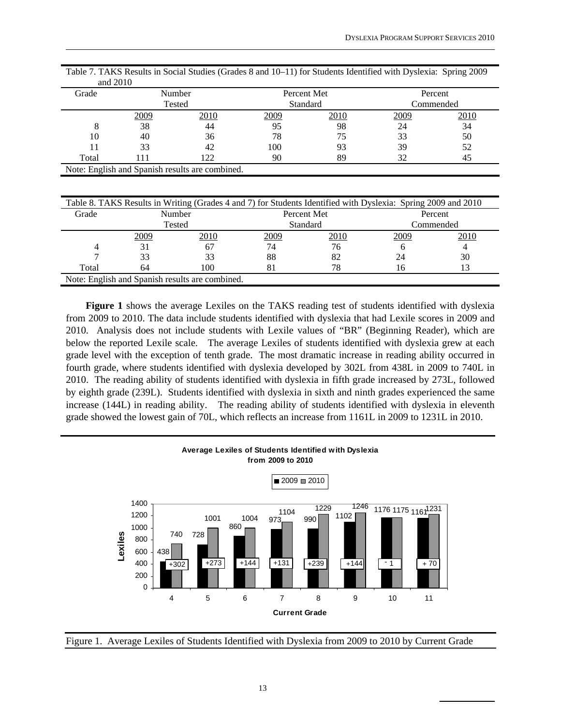| Grade | Number<br>Tested |                                                 |      | Percent Met<br>Standard | Percent<br>Commended |      |
|-------|------------------|-------------------------------------------------|------|-------------------------|----------------------|------|
|       | 2009             | 2010                                            | 2009 | 2010                    | 2009                 | 2010 |
| 8     | 38               | 44                                              | 95   | 98                      | 24                   | 34   |
| 10    | 40               | 36                                              | 78   | 75                      | 33                   | 50   |
|       | 33               | 42                                              | 100  | 93                      | 39                   | 52   |
| Total | 111              | 122                                             | 90   | 89                      | 32                   | 45   |
|       |                  | Note: English and Spanish results are combined. |      |                         |                      |      |

| Table 7. TAKS Results in Social Studies (Grades 8 and 10–11) for Students Identified with Dyslexia: Spring 2009 |  |
|-----------------------------------------------------------------------------------------------------------------|--|
| and $2010$                                                                                                      |  |

| Table 8. TAKS Results in Writing (Grades 4 and 7) for Students Identified with Dyslexia: Spring 2009 and 2010 |      |                                                 |             |             |      |           |  |  |  |  |
|---------------------------------------------------------------------------------------------------------------|------|-------------------------------------------------|-------------|-------------|------|-----------|--|--|--|--|
| Grade                                                                                                         |      | Number                                          |             | Percent Met |      | Percent   |  |  |  |  |
|                                                                                                               |      | Tested                                          |             | Standard    |      | Commended |  |  |  |  |
|                                                                                                               | 2009 | 2010                                            | <u>2009</u> | 2010        | 2009 | 2010      |  |  |  |  |
|                                                                                                               | 31   | 67                                              | 74          | 76          |      |           |  |  |  |  |
|                                                                                                               | 33   |                                                 | 88          | 82          | 24   | 30        |  |  |  |  |
| Total                                                                                                         | 64   | 100                                             | 81          | 78.         | 16   |           |  |  |  |  |
|                                                                                                               |      | Note: English and Spanish results are combined. |             |             |      |           |  |  |  |  |

**Figure 1** shows the average Lexiles on the TAKS reading test of students identified with dyslexia from 2009 to 2010. The data include students identified with dyslexia that had Lexile scores in 2009 and 2010. Analysis does not include students with Lexile values of "BR" (Beginning Reader), which are below the reported Lexile scale. The average Lexiles of students identified with dyslexia grew at each grade level with the exception of tenth grade. The most dramatic increase in reading ability occurred in fourth grade, where students identified with dyslexia developed by 302L from 438L in 2009 to 740L in 2010. The reading ability of students identified with dyslexia in fifth grade increased by 273L, followed by eighth grade (239L). Students identified with dyslexia in sixth and ninth grades experienced the same increase (144L) in reading ability. The reading ability of students identified with dyslexia in eleventh grade showed the lowest gain of 70L, which reflects an increase from 1161L in 2009 to 1231L in 2010.



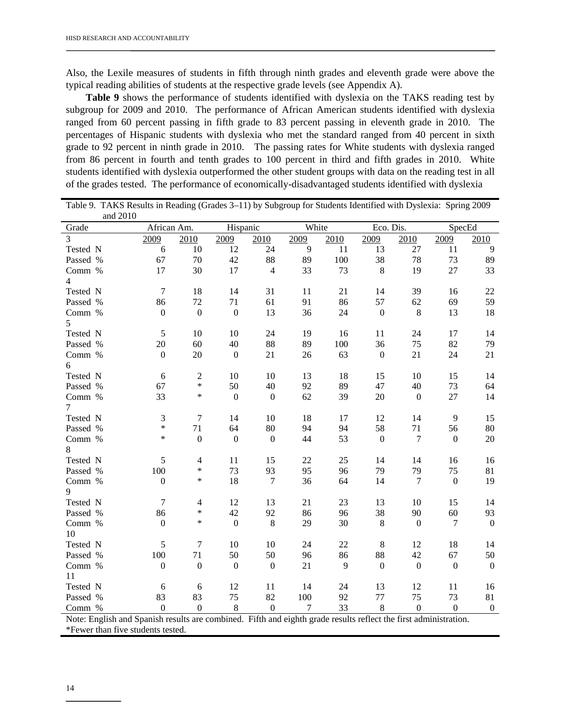Also, the Lexile measures of students in fifth through ninth grades and eleventh grade were above the typical reading abilities of students at the respective grade levels (see Appendix A).

**Table 9** shows the performance of students identified with dyslexia on the TAKS reading test by subgroup for 2009 and 2010. The performance of African American students identified with dyslexia ranged from 60 percent passing in fifth grade to 83 percent passing in eleventh grade in 2010. The percentages of Hispanic students with dyslexia who met the standard ranged from 40 percent in sixth grade to 92 percent in ninth grade in 2010. The passing rates for White students with dyslexia ranged from 86 percent in fourth and tenth grades to 100 percent in third and fifth grades in 2010. White students identified with dyslexia outperformed the other student groups with data on the reading test in all of the grades tested. The performance of economically-disadvantaged students identified with dyslexia

|                                                                                                                 | Table 9. TAKS Results in Reading (Grades 3-11) by Subgroup for Students Identified with Dyslexia: Spring 2009 |                          |                  |                  |       |      |                  |                  |                  |                  |
|-----------------------------------------------------------------------------------------------------------------|---------------------------------------------------------------------------------------------------------------|--------------------------|------------------|------------------|-------|------|------------------|------------------|------------------|------------------|
| and 2010                                                                                                        |                                                                                                               |                          |                  |                  | White |      |                  |                  |                  |                  |
| Grade                                                                                                           | African Am.                                                                                                   |                          | Hispanic         |                  |       |      | Eco. Dis.        |                  | SpecEd           |                  |
| 3                                                                                                               | 2009                                                                                                          | 2010                     | 2009             | 2010             | 2009  | 2010 | 2009             | 2010             | 2009             | 2010             |
| Tested N                                                                                                        | 6                                                                                                             | 10                       | 12               | 24               | 9     | 11   | 13               | 27               | 11               | 9                |
| Passed %                                                                                                        | 67                                                                                                            | 70                       | 42               | 88               | 89    | 100  | 38               | 78               | 73               | 89               |
| Comm %                                                                                                          | 17                                                                                                            | 30                       | 17               | $\overline{4}$   | 33    | 73   | 8                | 19               | 27               | 33               |
| $\overline{4}$<br>Tested N                                                                                      | $\overline{7}$                                                                                                | 18                       | 14               | 31               | 11    | 21   | 14               | 39               | 16               | 22               |
| Passed %                                                                                                        | 86                                                                                                            | 72                       | 71               | 61               | 91    | 86   | 57               |                  | 69               | 59               |
|                                                                                                                 |                                                                                                               |                          |                  |                  |       |      |                  | 62               |                  |                  |
| Comm %                                                                                                          | $\boldsymbol{0}$                                                                                              | $\boldsymbol{0}$         | $\boldsymbol{0}$ | 13               | 36    | 24   | $\boldsymbol{0}$ | $\,8\,$          | 13               | 18               |
| 5                                                                                                               |                                                                                                               |                          |                  |                  |       |      |                  |                  |                  |                  |
| Tested N                                                                                                        | $\sqrt{5}$                                                                                                    | 10                       | 10               | 24<br>88         | 19    | 16   | 11<br>36         | 24               | 17               | 14               |
| Passed %                                                                                                        | 20                                                                                                            | 60                       | 40               |                  | 89    | 100  |                  | 75               | 82               | 79               |
| Comm %                                                                                                          | $\boldsymbol{0}$                                                                                              | 20                       | $\boldsymbol{0}$ | 21               | 26    | 63   | $\boldsymbol{0}$ | 21               | 24               | 21               |
| 6                                                                                                               |                                                                                                               |                          |                  |                  |       |      |                  |                  |                  |                  |
| Tested N                                                                                                        | 6                                                                                                             | $\overline{c}$<br>$\ast$ | 10               | 10               | 13    | 18   | 15               | 10               | 15               | 14               |
| Passed %                                                                                                        | 67                                                                                                            | *                        | 50               | 40               | 92    | 89   | 47               | 40               | 73               | 64               |
| Comm %<br>7                                                                                                     | 33                                                                                                            |                          | $\theta$         | $\overline{0}$   | 62    | 39   | 20               | $\Omega$         | 27               | 14               |
| Tested N                                                                                                        | 3                                                                                                             | $\tau$                   | 14               | 10               | 18    | 17   | 12               | 14               | 9                | 15               |
| Passed %                                                                                                        | $\ast$                                                                                                        | 71                       | 64               | 80               | 94    | 94   | 58               | 71               | 56               | 80               |
| Comm %                                                                                                          | $\ast$                                                                                                        | $\boldsymbol{0}$         | $\mathbf{0}$     | $\boldsymbol{0}$ | 44    | 53   | $\mathbf{0}$     | 7                | $\boldsymbol{0}$ | 20               |
| 8                                                                                                               |                                                                                                               |                          |                  |                  |       |      |                  |                  |                  |                  |
| Tested N                                                                                                        | 5                                                                                                             | 4                        | 11               | 15               | 22    | 25   | 14               | 14               | 16               | 16               |
| Passed %                                                                                                        | 100                                                                                                           | $\ast$                   | 73               | 93               | 95    | 96   | 79               | 79               | 75               | 81               |
| Comm %                                                                                                          | $\boldsymbol{0}$                                                                                              | $\ast$                   | 18               | $\tau$           | 36    | 64   | 14               | $\tau$           | $\boldsymbol{0}$ | 19               |
| 9                                                                                                               |                                                                                                               |                          |                  |                  |       |      |                  |                  |                  |                  |
| Tested N                                                                                                        | $\overline{7}$                                                                                                | 4                        | 12               | 13               | 21    | 23   | 13               | 10               | 15               | 14               |
| Passed %                                                                                                        | 86                                                                                                            | $\ast$                   | 42               | 92               | 86    | 96   | 38               | 90               | 60               | 93               |
| Comm %                                                                                                          | $\overline{0}$                                                                                                | $\ast$                   | $\boldsymbol{0}$ | 8                | 29    | 30   | 8                | $\theta$         | $\tau$           | $\boldsymbol{0}$ |
| 10                                                                                                              |                                                                                                               |                          |                  |                  |       |      |                  |                  |                  |                  |
| Tested N                                                                                                        | 5                                                                                                             | 7                        | 10               | 10               | 24    | 22   | 8                | 12               | 18               | 14               |
| Passed %                                                                                                        | 100                                                                                                           | 71                       | 50               | 50               | 96    | 86   | 88               | 42               | 67               | 50               |
| Comm %                                                                                                          | $\boldsymbol{0}$                                                                                              | $\boldsymbol{0}$         | $\boldsymbol{0}$ | $\boldsymbol{0}$ | 21    | 9    | $\mathbf{0}$     | $\boldsymbol{0}$ | $\boldsymbol{0}$ | $\boldsymbol{0}$ |
| 11                                                                                                              |                                                                                                               |                          |                  |                  |       |      |                  |                  |                  |                  |
| Tested N                                                                                                        | 6                                                                                                             | 6                        | 12               | 11               | 14    | 24   | 13               | 12               | 11               | 16               |
| Passed %                                                                                                        | 83                                                                                                            | 83                       | 75               | 82               | 100   | 92   | 77               | 75               | 73               | 81               |
| Comm %                                                                                                          | $\boldsymbol{0}$                                                                                              | $\boldsymbol{0}$         | $\,8\,$          | $\boldsymbol{0}$ | 7     | 33   | $\,$ 8 $\,$      | $\boldsymbol{0}$ | $\boldsymbol{0}$ | $\boldsymbol{0}$ |
| Note: English and Spanish results are combined. Fifth and eighth grade results reflect the first administration |                                                                                                               |                          |                  |                  |       |      |                  |                  |                  |                  |

Note: English and Spanish results are combined. Fifth and eighth grade results reflect the first administration. \*Fewer than five students tested.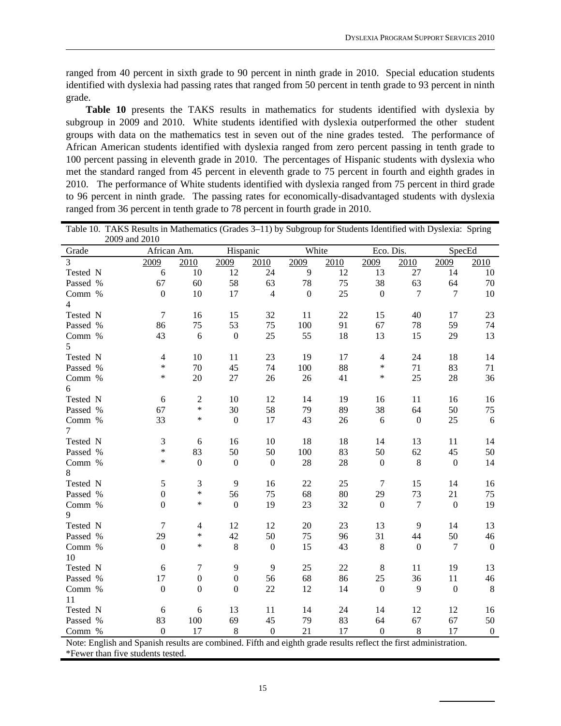ranged from 40 percent in sixth grade to 90 percent in ninth grade in 2010. Special education students identified with dyslexia had passing rates that ranged from 50 percent in tenth grade to 93 percent in ninth grade.

Table 10 presents the TAKS results in mathematics for students identified with dyslexia by subgroup in 2009 and 2010. White students identified with dyslexia outperformed the other student groups with data on the mathematics test in seven out of the nine grades tested. The performance of African American students identified with dyslexia ranged from zero percent passing in tenth grade to 100 percent passing in eleventh grade in 2010. The percentages of Hispanic students with dyslexia who met the standard ranged from 45 percent in eleventh grade to 75 percent in fourth and eighth grades in 2010. The performance of White students identified with dyslexia ranged from 75 percent in third grade to 96 percent in ninth grade. The passing rates for economically-disadvantaged students with dyslexia ranged from 36 percent in tenth grade to 78 percent in fourth grade in 2010.

| Table 10. TAKS Results in Mathematics (Grades 3–11) by Subgroup for Students Identified with Dyslexia: Spring |                  |                  |                  |                  |                  |      |                  |              |                  |                  |
|---------------------------------------------------------------------------------------------------------------|------------------|------------------|------------------|------------------|------------------|------|------------------|--------------|------------------|------------------|
|                                                                                                               | 2009 and 2010    |                  |                  |                  |                  |      |                  |              |                  |                  |
| Grade                                                                                                         | African Am.      |                  | Hispanic         |                  | White            |      | Eco. Dis.        |              | SpecEd           |                  |
| 3                                                                                                             | 2009             | 2010             | 2009             | 2010             | 2009             | 2010 | 2009             | 2010         | 2009             | 2010             |
| Tested N                                                                                                      | 6                | 10               | 12               | 24               | $\overline{9}$   | 12   | 13               | 27           | 14               | 10               |
| Passed %                                                                                                      | 67               | 60               | 58               | 63               | 78               | 75   | 38               | 63           | 64               | 70               |
| Comm %                                                                                                        | $\boldsymbol{0}$ | 10               | 17               | $\overline{4}$   | $\boldsymbol{0}$ | 25   | $\boldsymbol{0}$ | 7            | $\overline{7}$   | 10               |
| 4                                                                                                             |                  |                  |                  |                  |                  |      |                  |              |                  |                  |
| Tested N                                                                                                      | $\boldsymbol{7}$ | 16               | 15               | 32               | 11               | 22   | 15               | 40           | 17               | 23               |
| Passed %                                                                                                      | 86               | 75               | 53               | 75               | 100              | 91   | 67               | 78           | 59               | 74               |
| Comm %                                                                                                        | 43               | 6                | $\boldsymbol{0}$ | 25               | 55               | 18   | 13               | 15           | 29               | 13               |
| 5                                                                                                             |                  |                  |                  |                  |                  |      |                  |              |                  |                  |
| Tested N                                                                                                      | $\overline{4}$   | $10\,$           | 11               | 23               | 19               | 17   | $\overline{4}$   | 24           | 18               | 14               |
| Passed %                                                                                                      | $\ast$           | 70               | 45               | 74               | 100              | 88   | $\ast$           | 71           | 83               | 71               |
| Comm %                                                                                                        | $\ast$           | 20               | 27               | 26               | 26               | 41   | *                | 25           | 28               | 36               |
| 6                                                                                                             |                  |                  |                  |                  |                  |      |                  |              |                  |                  |
| Tested N                                                                                                      | 6                | $\sqrt{2}$       | 10               | 12               | 14               | 19   | 16               | 11           | 16               | 16               |
| Passed %                                                                                                      | 67               | $\ast$           | 30               | 58               | 79               | 89   | 38               | 64           | 50               | 75               |
| Comm %                                                                                                        | 33               | *                | $\mathbf{0}$     | 17               | 43               | 26   | 6                | $\mathbf{0}$ | 25               | 6                |
| 7                                                                                                             |                  |                  |                  |                  |                  |      |                  |              |                  |                  |
| Tested N                                                                                                      | 3                | 6                | 16               | 10               | 18               | 18   | 14               | 13           | 11               | 14               |
| Passed %                                                                                                      | $\ast$           | 83               | 50               | 50               | 100              | 83   | 50               | 62           | 45               | 50               |
| Comm %                                                                                                        | $\ast$           | $\boldsymbol{0}$ | $\boldsymbol{0}$ | $\boldsymbol{0}$ | 28               | 28   | $\boldsymbol{0}$ | 8            | $\boldsymbol{0}$ | 14               |
| 8                                                                                                             |                  |                  |                  |                  |                  |      |                  |              |                  |                  |
| Tested N                                                                                                      | 5                | 3                | 9                | 16               | 22               | 25   | $\tau$           | 15           | 14               | 16               |
| Passed %                                                                                                      | $\boldsymbol{0}$ | $\ast$           | 56               | 75               | 68               | 80   | 29               | 73           | 21               | 75               |
| Comm %                                                                                                        | $\mathbf{0}$     | $\ast$           | $\boldsymbol{0}$ | 19               | 23               | 32   | $\boldsymbol{0}$ | 7            | $\boldsymbol{0}$ | 19               |
| $\mathbf{Q}$                                                                                                  |                  |                  |                  |                  |                  |      |                  |              |                  |                  |
| Tested N                                                                                                      | $\tau$           | $\overline{4}$   | 12               | 12               | 20               | 23   | 13               | 9            | 14               | 13               |
| Passed %                                                                                                      | 29               | $\ast$           | 42               | 50               | 75               | 96   | 31               | 44           | 50               | 46               |
| Comm %                                                                                                        | $\boldsymbol{0}$ | $\ast$           | $\,8\,$          | $\boldsymbol{0}$ | 15               | 43   | $\,8\,$          | $\mathbf{0}$ | $\tau$           | $\boldsymbol{0}$ |
| 10                                                                                                            |                  |                  |                  |                  |                  |      |                  |              |                  |                  |
| Tested N                                                                                                      | $\sqrt{6}$       | $\boldsymbol{7}$ | 9                | 9                | 25               | 22   | 8                | 11           | 19               | 13               |
| Passed %                                                                                                      | 17               | $\boldsymbol{0}$ | $\boldsymbol{0}$ | 56               | 68               | 86   | 25               | 36           | 11               | 46               |
| Comm %                                                                                                        | $\mathbf{0}$     | $\boldsymbol{0}$ | $\boldsymbol{0}$ | 22               | 12               | 14   | $\mathbf{0}$     | 9            | $\boldsymbol{0}$ | $\,8\,$          |
| 11                                                                                                            |                  |                  |                  |                  |                  |      |                  |              |                  |                  |
| Tested N                                                                                                      | $\sqrt{6}$       | 6                | 13               | 11               | 14               | 24   | 14               | 12           | 12               | 16               |
| Passed %                                                                                                      | 83               | 100              | 69               | 45               | 79               | 83   | 64               | 67           | 67               | 50               |
| Comm %                                                                                                        | $\overline{0}$   | 17               | 8                | $\mathbf{0}$     | 21               | 17   | $\mathbf{0}$     | 8            | 17               | $\mathbf{0}$     |

Note: English and Spanish results are combined. Fifth and eighth grade results reflect the first administration. \*Fewer than five students tested.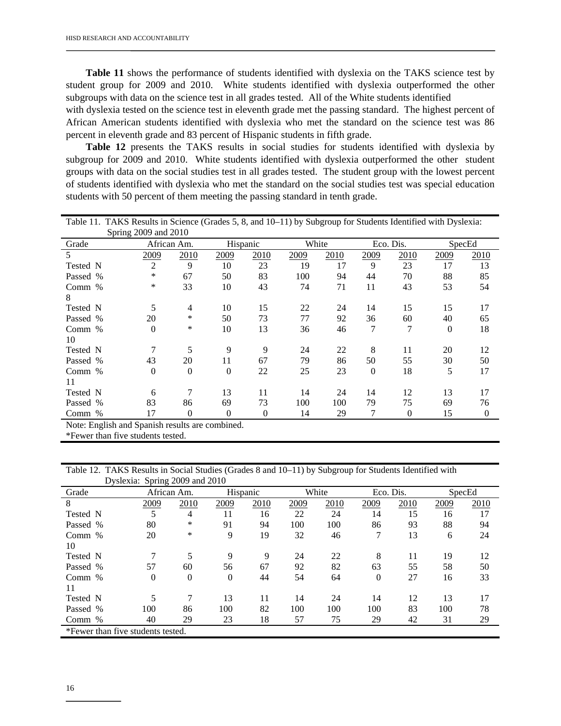**Table 11** shows the performance of students identified with dyslexia on the TAKS science test by student group for 2009 and 2010. White students identified with dyslexia outperformed the other subgroups with data on the science test in all grades tested. All of the White students identified

with dyslexia tested on the science test in eleventh grade met the passing standard. The highest percent of African American students identified with dyslexia who met the standard on the science test was 86 percent in eleventh grade and 83 percent of Hispanic students in fifth grade.

 **Table 12** presents the TAKS results in social studies for students identified with dyslexia by subgroup for 2009 and 2010. White students identified with dyslexia outperformed the other student groups with data on the social studies test in all grades tested. The student group with the lowest percent of students identified with dyslexia who met the standard on the social studies test was special education students with 50 percent of them meeting the passing standard in tenth grade.

| Table 11. TAKS Results in Science (Grades 5, 8, and 10–11) by Subgroup for Students Identified with Dyslexia: |                      |             |                  |              |       |      |           |          |          |              |
|---------------------------------------------------------------------------------------------------------------|----------------------|-------------|------------------|--------------|-------|------|-----------|----------|----------|--------------|
|                                                                                                               | Spring 2009 and 2010 |             |                  |              |       |      |           |          |          |              |
| Grade                                                                                                         |                      | African Am. | Hispanic         |              | White |      | Eco. Dis. |          | SpecEd   |              |
| 5                                                                                                             | 2009                 | 2010        | 2009             | 2010         | 2009  | 2010 | 2009      | 2010     | 2009     | 2010         |
| Tested N                                                                                                      | 2                    | 9           | 10               | 23           | 19    | 17   | 9         | 23       | 17       | 13           |
| Passed %                                                                                                      | *                    | 67          | 50               | 83           | 100   | 94   | 44        | 70       | 88       | 85           |
| Comm $%$                                                                                                      | $\ast$               | 33          | 10               | 43           | 74    | 71   | 11        | 43       | 53       | 54           |
| 8                                                                                                             |                      |             |                  |              |       |      |           |          |          |              |
| Tested N                                                                                                      | 5                    | 4           | 10               | 15           | 22    | 24   | 14        | 15       | 15       | 17           |
| Passed %                                                                                                      | 20                   | *           | 50               | 73           | 77    | 92   | 36        | 60       | 40       | 65           |
| Comm %                                                                                                        | $\Omega$             | *           | 10               | 13           | 36    | 46   | 7         | 7        | $\theta$ | 18           |
| 10                                                                                                            |                      |             |                  |              |       |      |           |          |          |              |
| Tested N                                                                                                      |                      | 5           | 9                | 9            | 24    | 22   | 8         | 11       | 20       | 12           |
| Passed %                                                                                                      | 43                   | 20          | 11               | 67           | 79    | 86   | 50        | 55       | 30       | 50           |
| Comm $%$                                                                                                      | $\Omega$             | $\Omega$    | $\overline{0}$   | 22           | 25    | 23   | 0         | 18       | 5        | 17           |
| 11                                                                                                            |                      |             |                  |              |       |      |           |          |          |              |
| Tested N                                                                                                      | 6                    | 7           | 13               | 11           | 14    | 24   | 14        | 12       | 13       | 17           |
| Passed %                                                                                                      | 83                   | 86          | 69               | 73           | 100   | 100  | 79        | 75       | 69       | 76           |
| Comm %                                                                                                        | 17                   | $\theta$    | $\boldsymbol{0}$ | $\mathbf{0}$ | 14    | 29   |           | $\theta$ | 15       | $\mathbf{0}$ |

Note: English and Spanish results are combined.

\*Fewer than five students tested.

Table 12. TAKS Results in Social Studies (Grades 8 and 10–11) by Subgroup for Students Identified with Dyslexia: Spring 2009 and 2010

|                                   |             | $D$ ysiexia. Spring $2009$ and $2010$ |          |      |      |       |                |      |      |        |
|-----------------------------------|-------------|---------------------------------------|----------|------|------|-------|----------------|------|------|--------|
| Grade                             | African Am. |                                       | Hispanic |      |      | White | Eco. Dis.      |      |      | SpecEd |
| 8                                 | 2009        | 2010                                  | 2009     | 2010 | 2009 | 2010  | 2009           | 2010 | 2009 | 2010   |
| Tested N                          | 5           | 4                                     | 11       | 16   | 22   | 24    | 14             | 15   | 16   | 17     |
| Passed %                          | 80          | $\ast$                                | 91       | 94   | 100  | 100   | 86             | 93   | 88   | 94     |
| Comm $%$                          | 20          | $\ast$                                | 9        | 19   | 32   | 46    | 7              | 13   | 6    | 24     |
| 10                                |             |                                       |          |      |      |       |                |      |      |        |
| Tested N                          |             |                                       | 9        | 9    | 24   | 22    | 8              | 11   | 19   | 12     |
| Passed %                          | 57          | 60                                    | 56       | 67   | 92   | 82    | 63             | 55   | 58   | 50     |
| Comm $%$                          | $\theta$    | $\theta$                              | 0        | 44   | 54   | 64    | $\overline{0}$ | 27   | 16   | 33     |
| 11                                |             |                                       |          |      |      |       |                |      |      |        |
| Tested N                          |             | 7                                     | 13       | 11   | 14   | 24    | 14             | 12   | 13   | 17     |
| Passed %                          | 100         | 86                                    | 100      | 82   | 100  | 100   | 100            | 83   | 100  | 78     |
| Comm %                            | 40          | 29                                    | 23       | 18   | 57   | 75    | 29             | 42   | 31   | 29     |
| *Fewer than five students tested. |             |                                       |          |      |      |       |                |      |      |        |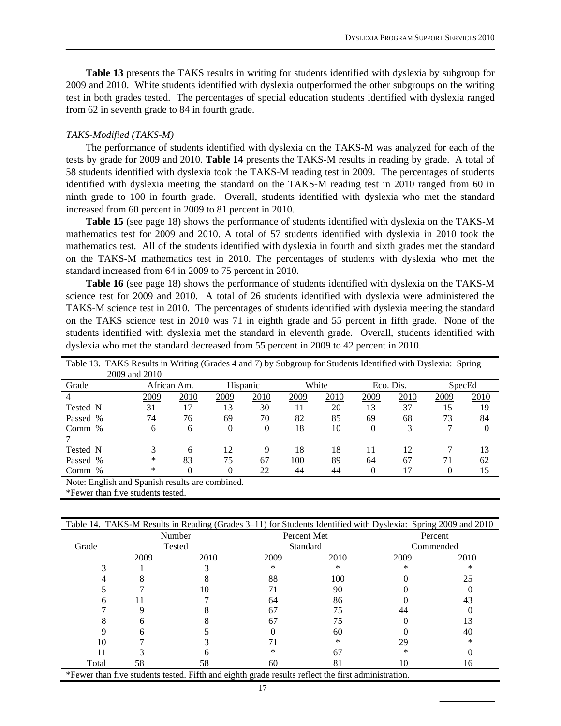**Table 13** presents the TAKS results in writing for students identified with dyslexia by subgroup for 2009 and 2010. White students identified with dyslexia outperformed the other subgroups on the writing test in both grades tested. The percentages of special education students identified with dyslexia ranged from 62 in seventh grade to 84 in fourth grade.

#### *TAKS-Modified (TAKS-M)*

 The performance of students identified with dyslexia on the TAKS-M was analyzed for each of the tests by grade for 2009 and 2010. **Table 14** presents the TAKS-M results in reading by grade. A total of 58 students identified with dyslexia took the TAKS-M reading test in 2009. The percentages of students identified with dyslexia meeting the standard on the TAKS-M reading test in 2010 ranged from 60 in ninth grade to 100 in fourth grade. Overall, students identified with dyslexia who met the standard increased from 60 percent in 2009 to 81 percent in 2010.

 **Table 15** (see page 18) shows the performance of students identified with dyslexia on the TAKS-M mathematics test for 2009 and 2010. A total of 57 students identified with dyslexia in 2010 took the mathematics test. All of the students identified with dyslexia in fourth and sixth grades met the standard on the TAKS-M mathematics test in 2010. The percentages of students with dyslexia who met the standard increased from 64 in 2009 to 75 percent in 2010.

 **Table 16** (see page 18) shows the performance of students identified with dyslexia on the TAKS-M science test for 2009 and 2010. A total of 26 students identified with dyslexia were administered the TAKS-M science test in 2010. The percentages of students identified with dyslexia meeting the standard on the TAKS science test in 2010 was 71 in eighth grade and 55 percent in fifth grade. None of the students identified with dyslexia met the standard in eleventh grade. Overall, students identified with dyslexia who met the standard decreased from 55 percent in 2009 to 42 percent in 2010.

| Table 13. TAKS Results in Writing (Grades 4 and 7) by Subgroup for Students Identified with Dyslexia: Spring |             |      |          |      |       |      |           |      |        |          |
|--------------------------------------------------------------------------------------------------------------|-------------|------|----------|------|-------|------|-----------|------|--------|----------|
| 2009 and 2010                                                                                                |             |      |          |      |       |      |           |      |        |          |
| Grade                                                                                                        | African Am. |      | Hispanic |      | White |      | Eco. Dis. |      | SpecEd |          |
|                                                                                                              | 2009        | 2010 | 2009     | 2010 | 2009  | 2010 | 2009      | 2010 | 2009   | 2010     |
| Tested N                                                                                                     | 31          | 17   | 13       | 30   | 11    | 20   | 13        | 37   | 15     | 19       |
| Passed %                                                                                                     | 74          | 76   | 69       | 70   | 82    | 85   | 69        | 68   | 73     | 84       |
| Comm %                                                                                                       | 6           | 6    | $\Omega$ | 0    | 18    | 10   | 0         | 3    |        | $\theta$ |
|                                                                                                              |             |      |          |      |       |      |           |      |        |          |
| Tested N                                                                                                     |             | 6    | 12       | 9    | 18    | 18   | 11        | 12   |        | 13       |
| Passed %                                                                                                     | $\ast$      | 83   | 75       | 67   | 100   | 89   | 64        | 67   | 71     | 62       |
| Comm $%$                                                                                                     | *           |      | 0        | 22   | 44    | 44   |           |      | 0      | 15       |
| Note: English and Spanish results are combined.                                                              |             |      |          |      |       |      |           |      |        |          |

\*Fewer than five students tested.

|                                                                                                    | Table 14. TAKS-M Results in Reading (Grades 3-11) for Students Identified with Dyslexia: Spring 2009 and 2010 |        |      |                 |           |      |  |  |  |  |  |
|----------------------------------------------------------------------------------------------------|---------------------------------------------------------------------------------------------------------------|--------|------|-----------------|-----------|------|--|--|--|--|--|
|                                                                                                    |                                                                                                               | Number |      | Percent Met     | Percent   |      |  |  |  |  |  |
| Grade                                                                                              |                                                                                                               | Tested |      | <b>Standard</b> | Commended |      |  |  |  |  |  |
|                                                                                                    | 2009                                                                                                          | 2010   | 2009 | 2010            | 2009      | 2010 |  |  |  |  |  |
|                                                                                                    |                                                                                                               |        | *    | ∗               |           |      |  |  |  |  |  |
|                                                                                                    |                                                                                                               |        | 88   | 100             |           | 25   |  |  |  |  |  |
|                                                                                                    |                                                                                                               | 10     |      | 90              |           |      |  |  |  |  |  |
|                                                                                                    |                                                                                                               |        | 64   | 86              |           | 43   |  |  |  |  |  |
|                                                                                                    |                                                                                                               |        | 67   | 75              | 44        |      |  |  |  |  |  |
|                                                                                                    |                                                                                                               |        | 67   | 75              |           | 13   |  |  |  |  |  |
|                                                                                                    |                                                                                                               |        |      | 60              |           | 40   |  |  |  |  |  |
| 10                                                                                                 |                                                                                                               |        |      |                 | 29        |      |  |  |  |  |  |
|                                                                                                    |                                                                                                               |        |      | 67              |           |      |  |  |  |  |  |
| Total                                                                                              | 58                                                                                                            | 58     | 60   | 81              | 10        | 16   |  |  |  |  |  |
| *Fewer than five students tested. Fifth and eighth grade results reflect the first administration. |                                                                                                               |        |      |                 |           |      |  |  |  |  |  |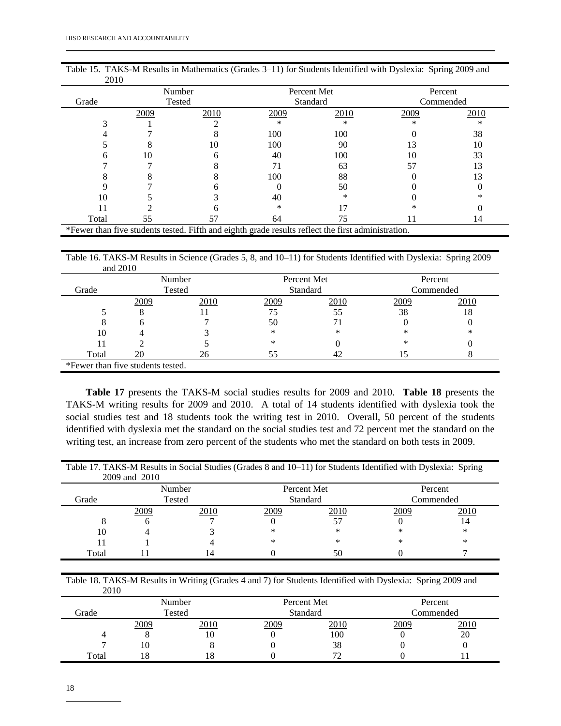| 2010  |      |                                                                                                    |      |             |           |      |  |
|-------|------|----------------------------------------------------------------------------------------------------|------|-------------|-----------|------|--|
|       |      | Number                                                                                             |      | Percent Met | Percent   |      |  |
| Grade |      | Tested                                                                                             |      | Standard    | Commended |      |  |
|       | 2009 | 2010                                                                                               | 2009 | 2010        | 2009      | 2010 |  |
|       |      |                                                                                                    | *    | ∗           | $\ast$    | *    |  |
|       |      |                                                                                                    | 100  | 100         |           | 38   |  |
|       |      | 10                                                                                                 | 100  | 90          | 13        | 10   |  |
|       | 10   |                                                                                                    | 40   | 100         | 10        | 33   |  |
|       |      |                                                                                                    | 71   | 63          | 57        | 13   |  |
|       |      |                                                                                                    | 100  | 88          |           | 13   |  |
|       |      |                                                                                                    |      | 50          |           |      |  |
| 10    |      |                                                                                                    | 40   |             |           |      |  |
|       |      |                                                                                                    | ∗    |             |           |      |  |
| Total | 55   | 57                                                                                                 | 64   | 75          | 11        | 14   |  |
|       |      | *Fewer than five students tested. Fifth and eighth grade results reflect the first administration. |      |             |           |      |  |

Table 15. TAKS-M Results in Mathematics (Grades 3–11) for Students Identified with Dyslexia: Spring 2009 and

Table 16. TAKS-M Results in Science (Grades 5, 8, and 10–11) for Students Identified with Dyslexia: Spring 2009 and 2010

|       |                                   | Number |      | Percent Met | Percent   |      |  |
|-------|-----------------------------------|--------|------|-------------|-----------|------|--|
| Grade |                                   | Tested |      | Standard    | Commended |      |  |
|       | 2009                              | 2010   | 2009 | 2010        | 2009      | 2010 |  |
|       |                                   |        | 75   | 55          | 38        | 18   |  |
|       |                                   |        | 50   |             |           |      |  |
| 10    |                                   |        | *    | ∗           | ∗         | *    |  |
|       |                                   |        | *    |             | ∗         |      |  |
| Total | 20                                | 26     | 55   |             | ל. ו      |      |  |
|       | *Fewer than five students tested. |        |      |             |           |      |  |

**Table 17** presents the TAKS-M social studies results for 2009 and 2010. **Table 18** presents the TAKS-M writing results for 2009 and 2010. A total of 14 students identified with dyslexia took the social studies test and 18 students took the writing test in 2010. Overall, 50 percent of the students identified with dyslexia met the standard on the social studies test and 72 percent met the standard on the writing test, an increase from zero percent of the students who met the standard on both tests in 2009.

Table 17. TAKS-M Results in Social Studies (Grades 8 and 10–11) for Students Identified with Dyslexia: Spring 2009 and 2010

|       |              | Number |      | Percent Met | Percent   |                |  |
|-------|--------------|--------|------|-------------|-----------|----------------|--|
| Grade |              | Tested |      | Standard    | Commended |                |  |
|       | 2009<br>2010 |        | 2009 | 2010        | 2009      | 2010           |  |
|       |              |        |      |             |           | $\overline{A}$ |  |
| 10    |              |        | *    |             | ∗         | $\ast$         |  |
|       |              |        | *    | $\ast$      | $\ast$    | $^{\ast}$      |  |
| Total |              | 14     |      | 50          |           |                |  |

Table 18. TAKS-M Results in Writing (Grades 4 and 7) for Students Identified with Dyslexia: Spring 2009 and 2010

| $\sim$ |      |        |      |                          |           |      |  |
|--------|------|--------|------|--------------------------|-----------|------|--|
|        |      | Number |      | Percent Met              | Percent   |      |  |
| Grade  |      | Tested |      | Standard                 | Commended |      |  |
|        | 2009 | 2010   | 2009 | 2010                     | 2009      | 2010 |  |
|        |      | 10     |      | 100                      |           | 20   |  |
|        | 10   |        |      | 38                       |           |      |  |
| Total  | 18   | 18     |      | $\overline{\phantom{a}}$ |           |      |  |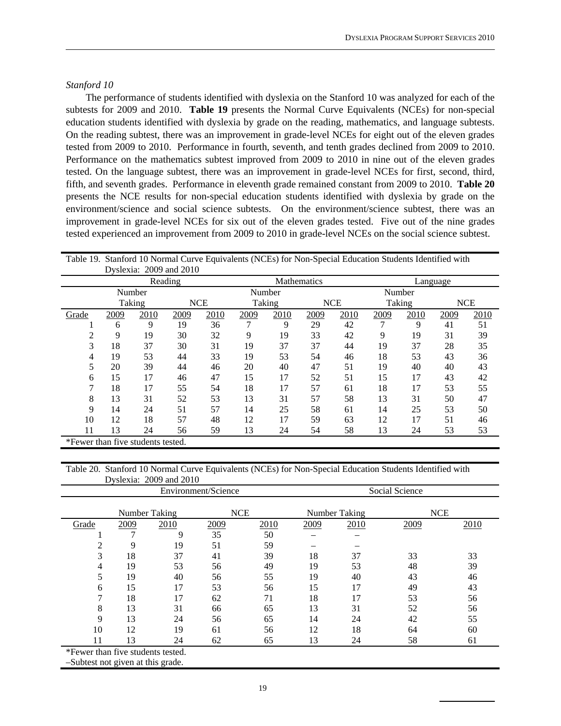#### *Stanford 10*

 The performance of students identified with dyslexia on the Stanford 10 was analyzed for each of the subtests for 2009 and 2010. **Table 19** presents the Normal Curve Equivalents (NCEs) for non-special education students identified with dyslexia by grade on the reading, mathematics, and language subtests. On the reading subtest, there was an improvement in grade-level NCEs for eight out of the eleven grades tested from 2009 to 2010. Performance in fourth, seventh, and tenth grades declined from 2009 to 2010. Performance on the mathematics subtest improved from 2009 to 2010 in nine out of the eleven grades tested. On the language subtest, there was an improvement in grade-level NCEs for first, second, third, fifth, and seventh grades. Performance in eleventh grade remained constant from 2009 to 2010. **Table 20** presents the NCE results for non-special education students identified with dyslexia by grade on the environment/science and social science subtests. On the environment/science subtest, there was an improvement in grade-level NCEs for six out of the eleven grades tested. Five out of the nine grades tested experienced an improvement from 2009 to 2010 in grade-level NCEs on the social science subtest.

|       | Table 19. Stalling TV Normal Curve Equivalents (NCES) for Non-Special Equcation Students Identified with<br>Dyslexia: 2009 and 2010 |        |         |            |                    |        |      |            |          |        |      |            |
|-------|-------------------------------------------------------------------------------------------------------------------------------------|--------|---------|------------|--------------------|--------|------|------------|----------|--------|------|------------|
|       |                                                                                                                                     |        |         |            |                    |        |      |            |          |        |      |            |
|       |                                                                                                                                     |        | Reading |            | <b>Mathematics</b> |        |      |            | Language |        |      |            |
|       |                                                                                                                                     | Number |         |            |                    | Number |      |            | Number   |        |      |            |
|       |                                                                                                                                     | Taking |         | <b>NCE</b> |                    | Taking |      | <b>NCE</b> |          | Taking |      | <b>NCE</b> |
| Grade | 2009                                                                                                                                | 2010   | 2009    | 2010       | 2009               | 2010   | 2009 | 2010       | 2009     | 2010   | 2009 | 2010       |
|       | 6                                                                                                                                   | 9      | 19      | 36         |                    | 9      | 29   | 42         |          | 9      | 41   | 51         |
| 2     | 9                                                                                                                                   | 19     | 30      | 32         | 9                  | 19     | 33   | 42         | 9        | 19     | 31   | 39         |
| 3     | 18                                                                                                                                  | 37     | 30      | 31         | 19                 | 37     | 37   | 44         | 19       | 37     | 28   | 35         |
| 4     | 19                                                                                                                                  | 53     | 44      | 33         | 19                 | 53     | 54   | 46         | 18       | 53     | 43   | 36         |
| 5     | 20                                                                                                                                  | 39     | 44      | 46         | 20                 | 40     | 47   | 51         | 19       | 40     | 40   | 43         |
| 6     | 15                                                                                                                                  | 17     | 46      | 47         | 15                 | 17     | 52   | 51         | 15       | 17     | 43   | 42         |
|       | 18                                                                                                                                  | 17     | 55      | 54         | 18                 | 17     | 57   | 61         | 18       | 17     | 53   | 55         |
| 8     | 13                                                                                                                                  | 31     | 52      | 53         | 13                 | 31     | 57   | 58         | 13       | 31     | 50   | 47         |
| 9     | 14                                                                                                                                  | 24     | 51      | 57         | 14                 | 25     | 58   | 61         | 14       | 25     | 53   | 50         |
| 10    | 12                                                                                                                                  | 18     | 57      | 48         | 12                 | 17     | 59   | 63         | 12       | 17     | 51   | 46         |
| 11    | 13                                                                                                                                  | 24     | 56      | 59         | 13                 | 24     | 54   | 58         | 13       | 24     | 53   | 53         |
|       | *Fewer than five students tested.                                                                                                   |        |         |            |                    |        |      |            |          |        |      |            |

Table 19. Stanford 10 Normal Curve Equivalents (NCEs) for Non-Special Education Students Identified with

#### Table 20. Stanford 10 Normal Curve Equivalents (NCEs) for Non-Special Education Students Identified with Dyslexia: 2009 and 2010

|                                   |      |               | Environment/Science |                             | Social Science |      |      |      |  |  |
|-----------------------------------|------|---------------|---------------------|-----------------------------|----------------|------|------|------|--|--|
|                                   |      | Number Taking | <b>NCE</b>          | <b>NCE</b><br>Number Taking |                |      |      |      |  |  |
| Grade                             | 2009 | 2010          | 2009                | 2010                        | 2009           | 2010 | 2009 | 2010 |  |  |
|                                   |      | 9             | 35                  | 50                          |                |      |      |      |  |  |
| っ                                 | 9    | 19            | 51                  | 59                          |                |      |      |      |  |  |
| 3                                 | 18   | 37            | 41                  | 39                          | 18             | 37   | 33   | 33   |  |  |
| 4                                 | 19   | 53            | 56                  | 49                          | 19             | 53   | 48   | 39   |  |  |
| 5                                 | 19   | 40            | 56                  | 55                          | 19             | 40   | 43   | 46   |  |  |
| 6                                 | 15   | 17            | 53                  | 56                          | 15             | 17   | 49   | 43   |  |  |
| 7                                 | 18   | 17            | 62                  | 71                          | 18             | 17   | 53   | 56   |  |  |
| 8                                 | 13   | 31            | 66                  | 65                          | 13             | 31   | 52   | 56   |  |  |
| 9                                 | 13   | 24            | 56                  | 65                          | 14             | 24   | 42   | 55   |  |  |
| 10                                | 12   | 19            | 61                  | 56                          | 12             | 18   | 64   | 60   |  |  |
| 11                                | 13   | 24            | 62                  | 65                          | 13             | 24   | 58   | 61   |  |  |
| *Fewer than five students tested. |      |               |                     |                             |                |      |      |      |  |  |

–Subtest not given at this grade.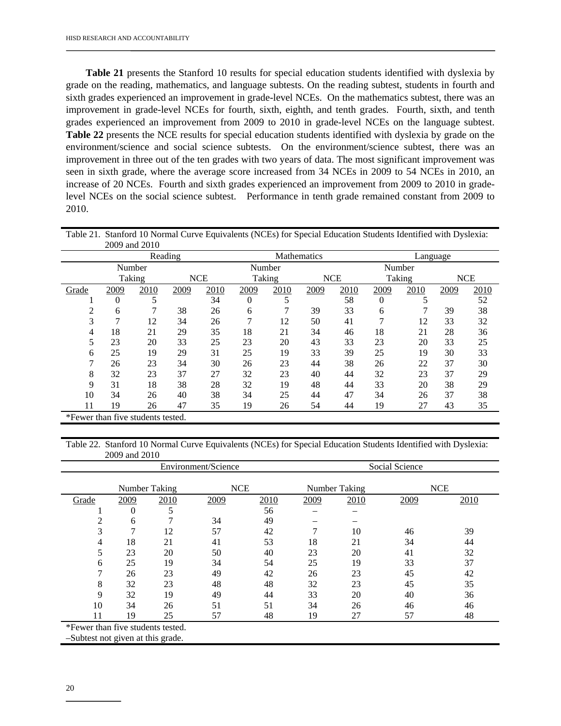**Table 21** presents the Stanford 10 results for special education students identified with dyslexia by grade on the reading, mathematics, and language subtests. On the reading subtest, students in fourth and sixth grades experienced an improvement in grade-level NCEs. On the mathematics subtest, there was an improvement in grade-level NCEs for fourth, sixth, eighth, and tenth grades. Fourth, sixth, and tenth grades experienced an improvement from 2009 to 2010 in grade-level NCEs on the language subtest. **Table 22** presents the NCE results for special education students identified with dyslexia by grade on the environment/science and social science subtests. On the environment/science subtest, there was an improvement in three out of the ten grades with two years of data. The most significant improvement was seen in sixth grade, where the average score increased from 34 NCEs in 2009 to 54 NCEs in 2010, an increase of 20 NCEs. Fourth and sixth grades experienced an improvement from 2009 to 2010 in gradelevel NCEs on the social science subtest. Performance in tenth grade remained constant from 2009 to 2010.

|                                   |      | 2009 and 2010 |         |            |          |        |             |            |          |        |            |      |
|-----------------------------------|------|---------------|---------|------------|----------|--------|-------------|------------|----------|--------|------------|------|
|                                   |      |               | Reading |            |          |        | Mathematics |            | Language |        |            |      |
|                                   |      | Number        |         |            | Number   |        |             |            | Number   |        |            |      |
|                                   |      | Taking        |         | <b>NCE</b> |          | Taking |             | <b>NCE</b> |          | Taking | <b>NCE</b> |      |
| Grade                             | 2009 | 2010          | 2009    | 2010       | 2009     | 2010   | 2009        | 2010       | 2009     | 2010   | 2009       | 2010 |
|                                   | 0    |               |         | 34         | $\theta$ |        |             | 58         | 0        |        |            | 52   |
| 2                                 | 6    |               | 38      | 26         | 6        | ┑      | 39          | 33         | 6        | 7      | 39         | 38   |
| 3                                 | 7    | 12            | 34      | 26         | 7        | 12     | 50          | 41         | ┑        | 12     | 33         | 32   |
| 4                                 | 18   | 21            | 29      | 35         | 18       | 21     | 34          | 46         | 18       | 21     | 28         | 36   |
| 5                                 | 23   | 20            | 33      | 25         | 23       | 20     | 43          | 33         | 23       | 20     | 33         | 25   |
| 6                                 | 25   | 19            | 29      | 31         | 25       | 19     | 33          | 39         | 25       | 19     | 30         | 33   |
| 7                                 | 26   | 23            | 34      | 30         | 26       | 23     | 44          | 38         | 26       | 22     | 37         | 30   |
| 8                                 | 32   | 23            | 37      | 27         | 32       | 23     | 40          | 44         | 32       | 23     | 37         | 29   |
| 9                                 | 31   | 18            | 38      | 28         | 32       | 19     | 48          | 44         | 33       | 20     | 38         | 29   |
| 10                                | 34   | 26            | 40      | 38         | 34       | 25     | 44          | 47         | 34       | 26     | 37         | 38   |
| 11                                | 19   | 26            | 47      | 35         | 19       | 26     | 54          | 44         | 19       | 27     | 43         | 35   |
| *Fewer than five students tested. |      |               |         |            |          |        |             |            |          |        |            |      |

Table 21. Stanford 10 Normal Curve Equivalents (NCEs) for Special Education Students Identified with Dyslexia:

Table 22. Stanford 10 Normal Curve Equivalents (NCEs) for Special Education Students Identified with Dyslexia: 2009 and 2010

|                                   |      |               | Environment/Science |      | Social Science                     |      |      |      |  |  |
|-----------------------------------|------|---------------|---------------------|------|------------------------------------|------|------|------|--|--|
|                                   |      | Number Taking | <b>NCE</b>          |      | <b>NCE</b><br><b>Number Taking</b> |      |      |      |  |  |
| Grade                             | 2009 | 2010          | 2009                | 2010 | 2009                               | 2010 | 2009 | 2010 |  |  |
|                                   | 0    | 5             |                     | 56   |                                    |      |      |      |  |  |
| 2                                 | 6    | ┑             | 34                  | 49   |                                    |      |      |      |  |  |
| 3                                 | 7    | 12            | 57                  | 42   | 7                                  | 10   | 46   | 39   |  |  |
| 4                                 | 18   | 21            | 41                  | 53   | 18                                 | 21   | 34   | 44   |  |  |
| 5                                 | 23   | 20            | 50                  | 40   | 23                                 | 20   | 41   | 32   |  |  |
| 6                                 | 25   | 19            | 34                  | 54   | 25                                 | 19   | 33   | 37   |  |  |
| 7                                 | 26   | 23            | 49                  | 42   | 26                                 | 23   | 45   | 42   |  |  |
| 8                                 | 32   | 23            | 48                  | 48   | 32                                 | 23   | 45   | 35   |  |  |
| 9                                 | 32   | 19            | 49                  | 44   | 33                                 | 20   | 40   | 36   |  |  |
| 10                                | 34   | 26            | 51                  | 51   | 34                                 | 26   | 46   | 46   |  |  |
| 11                                | 19   | 25            | 57                  | 48   | 19                                 | 27   | 57   | 48   |  |  |
| *Fewer than five students tested. |      |               |                     |      |                                    |      |      |      |  |  |

–Subtest not given at this grade.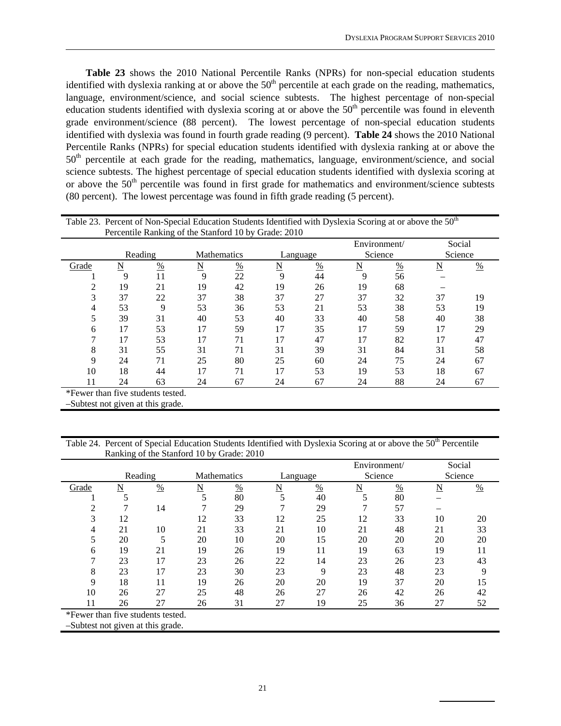**Table 23** shows the 2010 National Percentile Ranks (NPRs) for non-special education students identified with dyslexia ranking at or above the  $50<sup>th</sup>$  percentile at each grade on the reading, mathematics, language, environment/science, and social science subtests. The highest percentage of non-special education students identified with dyslexia scoring at or above the  $50<sup>th</sup>$  percentile was found in eleventh grade environment/science (88 percent). The lowest percentage of non-special education students identified with dyslexia was found in fourth grade reading (9 percent). **Table 24** shows the 2010 National Percentile Ranks (NPRs) for special education students identified with dyslexia ranking at or above the  $50<sup>th</sup>$  percentile at each grade for the reading, mathematics, language, environment/science, and social science subtests. The highest percentage of special education students identified with dyslexia scoring at or above the 50<sup>th</sup> percentile was found in first grade for mathematics and environment/science subtests (80 percent). The lowest percentage was found in fifth grade reading (5 percent).

|       |          |               |                    |      | Percentile Ranking of the Stanford 10 by Grade: 2010 |      | Table 23. Percent of Non-Special Education Students Identified with Dyslexia Scoring at or above the 50 <sup>th</sup> |               |    |                   |
|-------|----------|---------------|--------------------|------|------------------------------------------------------|------|-----------------------------------------------------------------------------------------------------------------------|---------------|----|-------------------|
|       | Reading  |               | <b>Mathematics</b> |      | Language                                             |      | Environment/<br>Science                                                                                               |               |    | Social<br>Science |
| Grade | <u>N</u> | $\frac{0}{0}$ | <u>N</u>           | $\%$ | <u>N</u>                                             | $\%$ | N                                                                                                                     | $\frac{0}{0}$ | N  | $\frac{0}{0}$     |
|       | 9        | 11            | 9                  | 22   | 9                                                    | 44   | 9                                                                                                                     | 56            |    |                   |
|       | 19       | 21            | 19                 | 42   | 19                                                   | 26   | 19                                                                                                                    | 68            |    |                   |
|       | 37       | 22            | 37                 | 38   | 37                                                   | 27   | 37                                                                                                                    | 32            | 37 | 19                |
|       | 53       | q             | 53                 | 36   | 53                                                   | 21   | 53                                                                                                                    | 38            | 53 | 19                |
|       | 39       | 31            | 40                 | 53   | 40                                                   | 33   | 40                                                                                                                    | 58            | 40 | 38                |
| 6     | 17       | 53            | 17                 | 59   | 17                                                   | 35   | 17                                                                                                                    | 59            | 17 | 29                |
|       | 17       | 53            | 17                 | 71   |                                                      | 47   |                                                                                                                       | 82            | 17 | 47                |
| 8     | 31       | 55            | 31                 | 71   | 31                                                   | 39   | 31                                                                                                                    | 84            | 31 | 58                |
| 9     | 24       | 71            | 25                 | 80   | 25                                                   | 60   | 24                                                                                                                    | 75            | 24 | 67                |
| 10    | 18       | 44            | 17                 | 71   | 17                                                   | 53   | 19                                                                                                                    | 53            | 18 | 67                |
| 11    | 24       | 63            | 24                 | 67   | 24                                                   | 67   | 24                                                                                                                    | 88            | 24 | 67                |

\*Fewer than five students tested.

–Subtest not given at this grade.

Table 24. Percent of Special Education Students Identified with Dyslexia Scoring at or above the 50<sup>th</sup> Percentile Ranking of the Stanford 10 by Grade: 2010

|                                   | o                       |               |                    |               |                     |               | Environment/ |               | Social              |               |
|-----------------------------------|-------------------------|---------------|--------------------|---------------|---------------------|---------------|--------------|---------------|---------------------|---------------|
|                                   | Reading                 |               | <b>Mathematics</b> |               | Language            |               | Science      |               | Science             |               |
| Grade                             | $\overline{\mathbf{N}}$ | $\frac{0}{0}$ | N                  | $\frac{0}{0}$ | $\underline{\rm N}$ | $\frac{0}{0}$ | N            | $\frac{0}{0}$ | $\underline{\rm N}$ | $\frac{0}{0}$ |
|                                   |                         |               |                    | 80            |                     | 40            |              | 80            |                     |               |
| 2                                 |                         | 14            |                    | 29            |                     | 29            |              | 57            |                     |               |
| 3                                 | 12                      |               | 12                 | 33            | 12                  | 25            | 12           | 33            | 10                  | 20            |
| 4                                 | 21                      | 10            | 21                 | 33            | 21                  | 10            | 21           | 48            | 21                  | 33            |
| 5                                 | 20                      |               | 20                 | 10            | 20                  | 15            | 20           | 20            | 20                  | 20            |
| 6                                 | 19                      | 21            | 19                 | 26            | 19                  | 11            | 19           | 63            | 19                  | 11            |
| 7                                 | 23                      | 17            | 23                 | 26            | 22                  | 14            | 23           | 26            | 23                  | 43            |
| 8                                 | 23                      | 17            | 23                 | 30            | 23                  | 9             | 23           | 48            | 23                  | 9             |
| 9                                 | 18                      | 11            | 19                 | 26            | 20                  | 20            | 19           | 37            | 20                  | 15            |
| 10                                | 26                      | 27            | 25                 | 48            | 26                  | 27            | 26           | 42            | 26                  | 42            |
| 11                                | 26                      | 27            | 26                 | 31            | 27                  | 19            | 25           | 36            | 27                  | 52            |
| *Fewer than five students tested. |                         |               |                    |               |                     |               |              |               |                     |               |
| -Subtest not given at this grade. |                         |               |                    |               |                     |               |              |               |                     |               |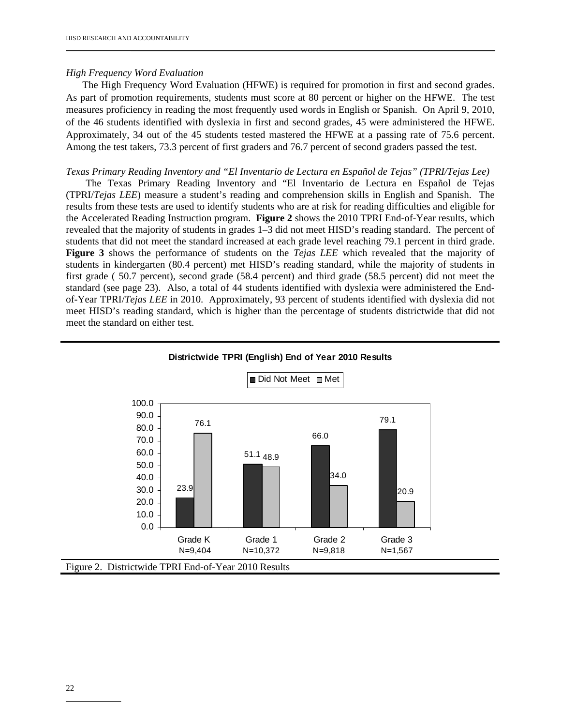#### *High Frequency Word Evaluation*

 The High Frequency Word Evaluation (HFWE) is required for promotion in first and second grades. As part of promotion requirements, students must score at 80 percent or higher on the HFWE. The test measures proficiency in reading the most frequently used words in English or Spanish. On April 9, 2010, of the 46 students identified with dyslexia in first and second grades, 45 were administered the HFWE. Approximately, 34 out of the 45 students tested mastered the HFWE at a passing rate of 75.6 percent. Among the test takers, 73.3 percent of first graders and 76.7 percent of second graders passed the test.

#### *Texas Primary Reading Inventory and "El Inventario de Lectura en Español de Tejas" (TPRI/Tejas Lee)*

 The Texas Primary Reading Inventory and "El Inventario de Lectura en Español de Tejas (TPRI/*Tejas LEE*) measure a student's reading and comprehension skills in English and Spanish. The results from these tests are used to identify students who are at risk for reading difficulties and eligible for the Accelerated Reading Instruction program. **Figure 2** shows the 2010 TPRI End-of-Year results, which revealed that the majority of students in grades 1–3 did not meet HISD's reading standard. The percent of students that did not meet the standard increased at each grade level reaching 79.1 percent in third grade. **Figure 3** shows the performance of students on the *Tejas LEE* which revealed that the majority of students in kindergarten (80.4 percent) met HISD's reading standard, while the majority of students in first grade ( 50.7 percent), second grade (58.4 percent) and third grade (58.5 percent) did not meet the standard (see page 23). Also, a total of 44 students identified with dyslexia were administered the Endof-Year TPRI/*Tejas LEE* in 2010.Approximately, 93 percent of students identified with dyslexia did not meet HISD's reading standard, which is higher than the percentage of students districtwide that did not meet the standard on either test.



#### **Districtwide TPRI (English) End of Year 2010 Results**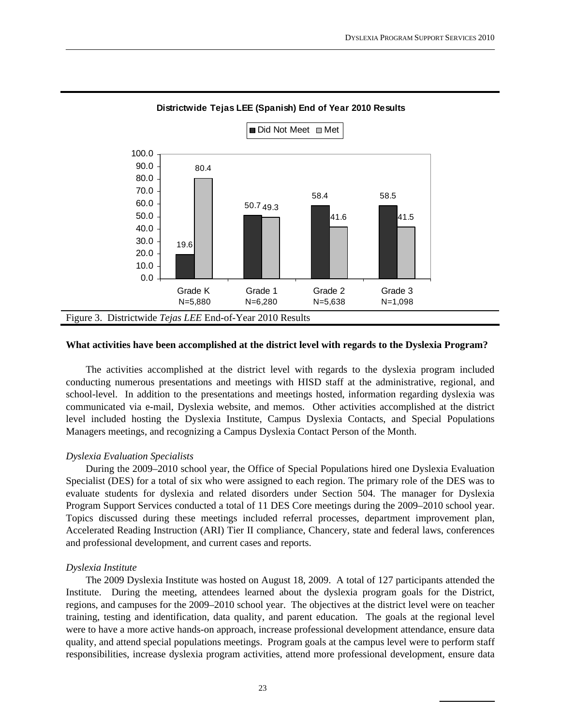

#### **Districtwide Tejas LEE (Spanish) End of Year 2010 Results**

#### **What activities have been accomplished at the district level with regards to the Dyslexia Program?**

 The activities accomplished at the district level with regards to the dyslexia program included conducting numerous presentations and meetings with HISD staff at the administrative, regional, and school-level. In addition to the presentations and meetings hosted, information regarding dyslexia was communicated via e-mail, Dyslexia website, and memos. Other activities accomplished at the district level included hosting the Dyslexia Institute, Campus Dyslexia Contacts, and Special Populations Managers meetings, and recognizing a Campus Dyslexia Contact Person of the Month.

#### *Dyslexia Evaluation Specialists*

 During the 2009–2010 school year, the Office of Special Populations hired one Dyslexia Evaluation Specialist (DES) for a total of six who were assigned to each region. The primary role of the DES was to evaluate students for dyslexia and related disorders under Section 504. The manager for Dyslexia Program Support Services conducted a total of 11 DES Core meetings during the 2009–2010 school year. Topics discussed during these meetings included referral processes, department improvement plan, Accelerated Reading Instruction (ARI) Tier II compliance, Chancery, state and federal laws, conferences and professional development, and current cases and reports.

#### *Dyslexia Institute*

 The 2009 Dyslexia Institute was hosted on August 18, 2009. A total of 127 participants attended the Institute. During the meeting, attendees learned about the dyslexia program goals for the District, regions, and campuses for the 2009–2010 school year. The objectives at the district level were on teacher training, testing and identification, data quality, and parent education. The goals at the regional level were to have a more active hands-on approach, increase professional development attendance, ensure data quality, and attend special populations meetings. Program goals at the campus level were to perform staff responsibilities, increase dyslexia program activities, attend more professional development, ensure data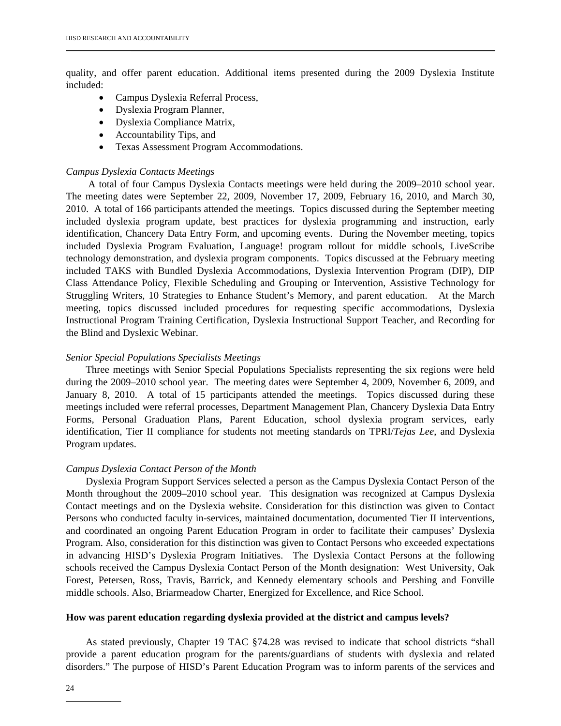quality, and offer parent education. Additional items presented during the 2009 Dyslexia Institute included:

- Campus Dyslexia Referral Process,
- Dyslexia Program Planner,
- Dyslexia Compliance Matrix,
- Accountability Tips, and
- Texas Assessment Program Accommodations.

#### *Campus Dyslexia Contacts Meetings*

 A total of four Campus Dyslexia Contacts meetings were held during the 2009–2010 school year. The meeting dates were September 22, 2009, November 17, 2009, February 16, 2010, and March 30, 2010. A total of 166 participants attended the meetings. Topics discussed during the September meeting included dyslexia program update, best practices for dyslexia programming and instruction, early identification, Chancery Data Entry Form, and upcoming events. During the November meeting, topics included Dyslexia Program Evaluation, Language! program rollout for middle schools, LiveScribe technology demonstration, and dyslexia program components. Topics discussed at the February meeting included TAKS with Bundled Dyslexia Accommodations, Dyslexia Intervention Program (DIP), DIP Class Attendance Policy, Flexible Scheduling and Grouping or Intervention, Assistive Technology for Struggling Writers, 10 Strategies to Enhance Student's Memory, and parent education. At the March meeting, topics discussed included procedures for requesting specific accommodations, Dyslexia Instructional Program Training Certification, Dyslexia Instructional Support Teacher, and Recording for the Blind and Dyslexic Webinar.

#### *Senior Special Populations Specialists Meetings*

 Three meetings with Senior Special Populations Specialists representing the six regions were held during the 2009–2010 school year. The meeting dates were September 4, 2009, November 6, 2009, and January 8, 2010. A total of 15 participants attended the meetings. Topics discussed during these meetings included were referral processes, Department Management Plan, Chancery Dyslexia Data Entry Forms, Personal Graduation Plans, Parent Education, school dyslexia program services, early identification, Tier II compliance for students not meeting standards on TPRI/*Tejas Lee*, and Dyslexia Program updates.

#### *Campus Dyslexia Contact Person of the Month*

Dyslexia Program Support Services selected a person as the Campus Dyslexia Contact Person of the Month throughout the 2009–2010 school year. This designation was recognized at Campus Dyslexia Contact meetings and on the Dyslexia website. Consideration for this distinction was given to Contact Persons who conducted faculty in-services, maintained documentation, documented Tier II interventions, and coordinated an ongoing Parent Education Program in order to facilitate their campuses' Dyslexia Program. Also, consideration for this distinction was given to Contact Persons who exceeded expectations in advancing HISD's Dyslexia Program Initiatives. The Dyslexia Contact Persons at the following schools received the Campus Dyslexia Contact Person of the Month designation: West University, Oak Forest, Petersen, Ross, Travis, Barrick, and Kennedy elementary schools and Pershing and Fonville middle schools. Also, Briarmeadow Charter, Energized for Excellence, and Rice School.

#### **How was parent education regarding dyslexia provided at the district and campus levels?**

As stated previously, Chapter 19 TAC §74.28 was revised to indicate that school districts "shall provide a parent education program for the parents/guardians of students with dyslexia and related disorders." The purpose of HISD's Parent Education Program was to inform parents of the services and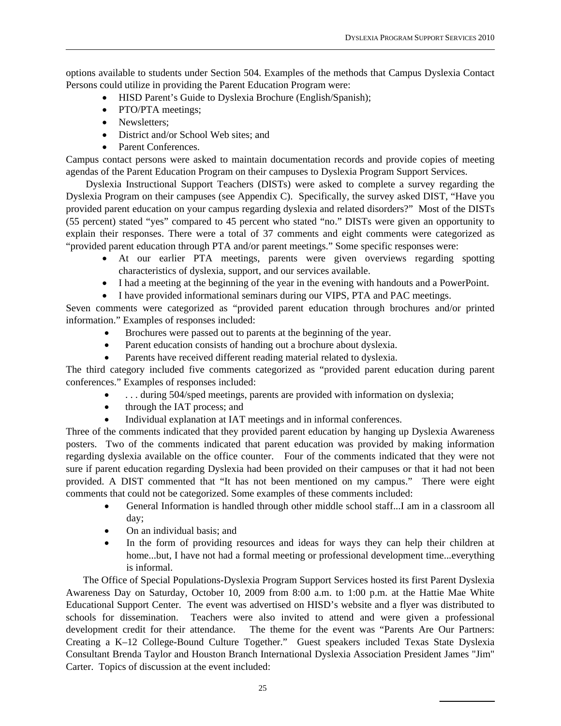options available to students under Section 504. Examples of the methods that Campus Dyslexia Contact Persons could utilize in providing the Parent Education Program were:

- HISD Parent's Guide to Dyslexia Brochure (English/Spanish);
- PTO/PTA meetings;
- Newsletters;
- District and/or School Web sites; and
- Parent Conferences.

Campus contact persons were asked to maintain documentation records and provide copies of meeting agendas of the Parent Education Program on their campuses to Dyslexia Program Support Services.

Dyslexia Instructional Support Teachers (DISTs) were asked to complete a survey regarding the Dyslexia Program on their campuses (see Appendix C). Specifically, the survey asked DIST, "Have you provided parent education on your campus regarding dyslexia and related disorders?" Most of the DISTs (55 percent) stated "yes" compared to 45 percent who stated "no." DISTs were given an opportunity to explain their responses. There were a total of 37 comments and eight comments were categorized as "provided parent education through PTA and/or parent meetings." Some specific responses were:

- At our earlier PTA meetings, parents were given overviews regarding spotting characteristics of dyslexia, support, and our services available.
- I had a meeting at the beginning of the year in the evening with handouts and a PowerPoint.
- I have provided informational seminars during our VIPS, PTA and PAC meetings.

Seven comments were categorized as "provided parent education through brochures and/or printed information." Examples of responses included:

- Brochures were passed out to parents at the beginning of the year.
- Parent education consists of handing out a brochure about dyslexia.
- Parents have received different reading material related to dyslexia.

The third category included five comments categorized as "provided parent education during parent conferences." Examples of responses included:

- ... during 504/sped meetings, parents are provided with information on dyslexia;
- through the IAT process; and
- Individual explanation at IAT meetings and in informal conferences.

Three of the comments indicated that they provided parent education by hanging up Dyslexia Awareness posters. Two of the comments indicated that parent education was provided by making information regarding dyslexia available on the office counter. Four of the comments indicated that they were not sure if parent education regarding Dyslexia had been provided on their campuses or that it had not been provided. A DIST commented that "It has not been mentioned on my campus." There were eight comments that could not be categorized. Some examples of these comments included:

- General Information is handled through other middle school staff...I am in a classroom all day;
- On an individual basis; and
- In the form of providing resources and ideas for ways they can help their children at home...but, I have not had a formal meeting or professional development time...everything is informal.

The Office of Special Populations-Dyslexia Program Support Services hosted its first Parent Dyslexia Awareness Day on Saturday, October 10, 2009 from 8:00 a.m. to 1:00 p.m. at the Hattie Mae White Educational Support Center. The event was advertised on HISD's website and a flyer was distributed to schools for dissemination. Teachers were also invited to attend and were given a professional development credit for their attendance. The theme for the event was "Parents Are Our Partners: Creating a K–12 College-Bound Culture Together." Guest speakers included Texas State Dyslexia Consultant Brenda Taylor and Houston Branch International Dyslexia Association President James "Jim" Carter. Topics of discussion at the event included: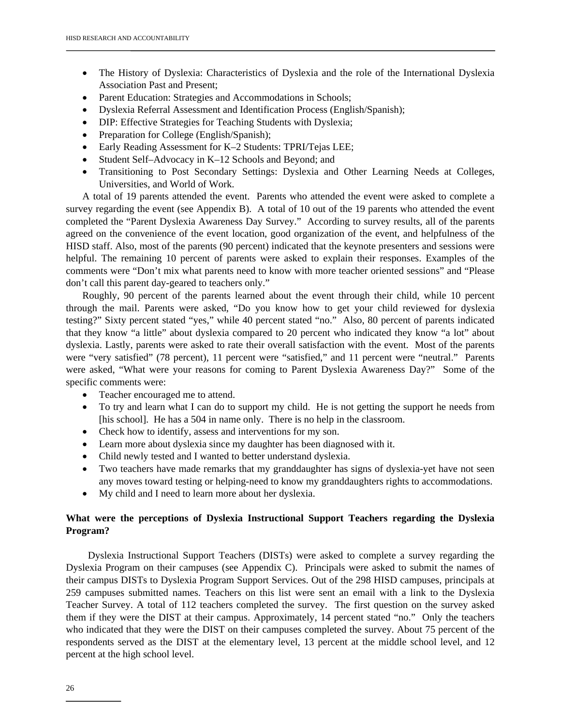- The History of Dyslexia: Characteristics of Dyslexia and the role of the International Dyslexia Association Past and Present;
- Parent Education: Strategies and Accommodations in Schools;
- Dyslexia Referral Assessment and Identification Process (English/Spanish);
- DIP: Effective Strategies for Teaching Students with Dyslexia;
- Preparation for College (English/Spanish);
- Early Reading Assessment for K-2 Students: TPRI/Tejas LEE;
- Student Self–Advocacy in K–12 Schools and Beyond; and
- Transitioning to Post Secondary Settings: Dyslexia and Other Learning Needs at Colleges, Universities, and World of Work.

A total of 19 parents attended the event. Parents who attended the event were asked to complete a survey regarding the event (see Appendix B). A total of 10 out of the 19 parents who attended the event completed the "Parent Dyslexia Awareness Day Survey." According to survey results, all of the parents agreed on the convenience of the event location, good organization of the event, and helpfulness of the HISD staff. Also, most of the parents (90 percent) indicated that the keynote presenters and sessions were helpful. The remaining 10 percent of parents were asked to explain their responses. Examples of the comments were "Don't mix what parents need to know with more teacher oriented sessions" and "Please don't call this parent day-geared to teachers only."

Roughly, 90 percent of the parents learned about the event through their child, while 10 percent through the mail. Parents were asked, "Do you know how to get your child reviewed for dyslexia testing?" Sixty percent stated "yes," while 40 percent stated "no." Also, 80 percent of parents indicated that they know "a little" about dyslexia compared to 20 percent who indicated they know "a lot" about dyslexia. Lastly, parents were asked to rate their overall satisfaction with the event. Most of the parents were "very satisfied" (78 percent), 11 percent were "satisfied," and 11 percent were "neutral." Parents were asked, "What were your reasons for coming to Parent Dyslexia Awareness Day?" Some of the specific comments were:

- Teacher encouraged me to attend.
- To try and learn what I can do to support my child. He is not getting the support he needs from [his school]. He has a 504 in name only. There is no help in the classroom.
- Check how to identify, assess and interventions for my son.
- Learn more about dyslexia since my daughter has been diagnosed with it.
- Child newly tested and I wanted to better understand dyslexia.
- Two teachers have made remarks that my granddaughter has signs of dyslexia-yet have not seen any moves toward testing or helping-need to know my granddaughters rights to accommodations.
- My child and I need to learn more about her dyslexia.

#### **What were the perceptions of Dyslexia Instructional Support Teachers regarding the Dyslexia Program?**

Dyslexia Instructional Support Teachers (DISTs) were asked to complete a survey regarding the Dyslexia Program on their campuses (see Appendix C). Principals were asked to submit the names of their campus DISTs to Dyslexia Program Support Services. Out of the 298 HISD campuses, principals at 259 campuses submitted names. Teachers on this list were sent an email with a link to the Dyslexia Teacher Survey. A total of 112 teachers completed the survey. The first question on the survey asked them if they were the DIST at their campus. Approximately, 14 percent stated "no." Only the teachers who indicated that they were the DIST on their campuses completed the survey. About 75 percent of the respondents served as the DIST at the elementary level, 13 percent at the middle school level, and 12 percent at the high school level.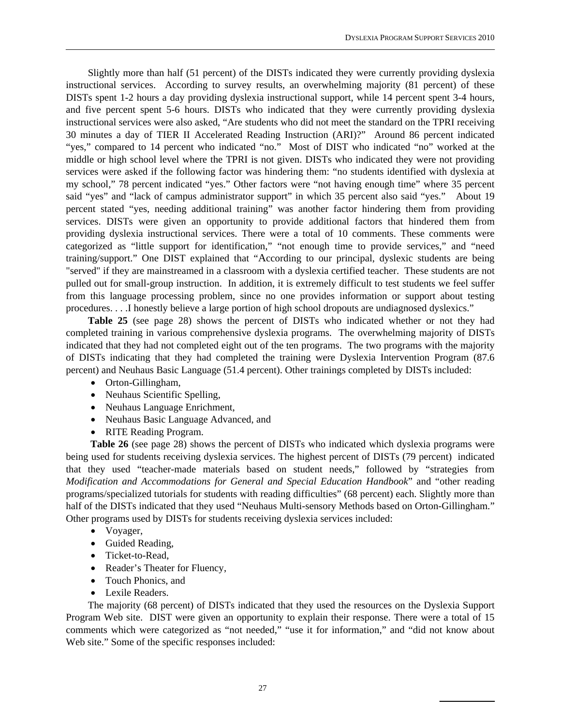Slightly more than half (51 percent) of the DISTs indicated they were currently providing dyslexia instructional services. According to survey results, an overwhelming majority (81 percent) of these DISTs spent 1-2 hours a day providing dyslexia instructional support, while 14 percent spent 3-4 hours, and five percent spent 5-6 hours. DISTs who indicated that they were currently providing dyslexia instructional services were also asked, "Are students who did not meet the standard on the TPRI receiving 30 minutes a day of TIER II Accelerated Reading Instruction (ARI)?" Around 86 percent indicated "yes," compared to 14 percent who indicated "no." Most of DIST who indicated "no" worked at the middle or high school level where the TPRI is not given. DISTs who indicated they were not providing services were asked if the following factor was hindering them: "no students identified with dyslexia at my school," 78 percent indicated "yes." Other factors were "not having enough time" where 35 percent said "yes" and "lack of campus administrator support" in which 35 percent also said "yes." About 19 percent stated "yes, needing additional training" was another factor hindering them from providing services. DISTs were given an opportunity to provide additional factors that hindered them from providing dyslexia instructional services. There were a total of 10 comments. These comments were categorized as "little support for identification," "not enough time to provide services," and "need training/support." One DIST explained that "According to our principal, dyslexic students are being "served" if they are mainstreamed in a classroom with a dyslexia certified teacher. These students are not pulled out for small-group instruction. In addition, it is extremely difficult to test students we feel suffer from this language processing problem, since no one provides information or support about testing procedures. . . .I honestly believe a large portion of high school dropouts are undiagnosed dyslexics."

 **Table 25** (see page 28) shows the percent of DISTs who indicated whether or not they had completed training in various comprehensive dyslexia programs. The overwhelming majority of DISTs indicated that they had not completed eight out of the ten programs. The two programs with the majority of DISTs indicating that they had completed the training were Dyslexia Intervention Program (87.6 percent) and Neuhaus Basic Language (51.4 percent). Other trainings completed by DISTs included:

- Orton-Gillingham,
- Neuhaus Scientific Spelling,
- Neuhaus Language Enrichment,
- Neuhaus Basic Language Advanced, and
- RITE Reading Program.

 **Table 26** (see page 28) shows the percent of DISTs who indicated which dyslexia programs were being used for students receiving dyslexia services. The highest percent of DISTs (79 percent) indicated that they used "teacher-made materials based on student needs," followed by "strategies from *Modification and Accommodations for General and Special Education Handbook*" and "other reading programs/specialized tutorials for students with reading difficulties" (68 percent) each. Slightly more than half of the DISTs indicated that they used "Neuhaus Multi-sensory Methods based on Orton-Gillingham." Other programs used by DISTs for students receiving dyslexia services included:

- Voyager,
- Guided Reading,
- Ticket-to-Read,
- Reader's Theater for Fluency,
- Touch Phonics, and
- Lexile Readers.

 The majority (68 percent) of DISTs indicated that they used the resources on the Dyslexia Support Program Web site. DIST were given an opportunity to explain their response. There were a total of 15 comments which were categorized as "not needed," "use it for information," and "did not know about Web site." Some of the specific responses included: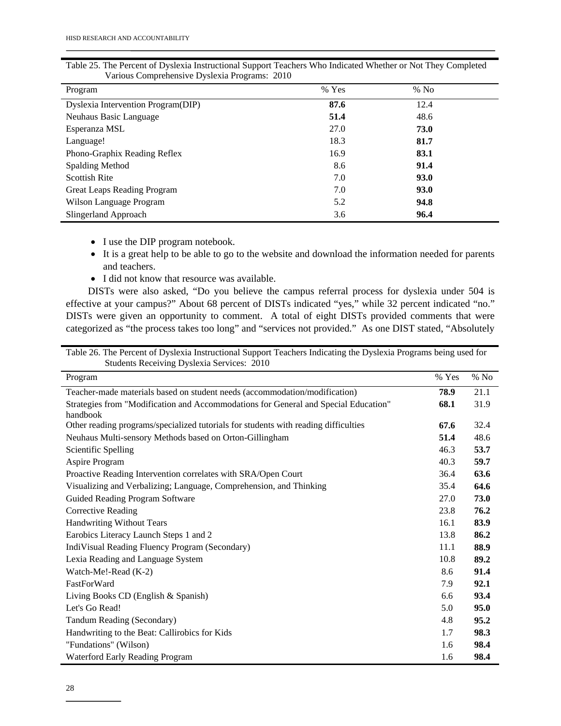| Program                            | $%$ Yes | $%$ No |  |
|------------------------------------|---------|--------|--|
| Dyslexia Intervention Program(DIP) | 87.6    | 12.4   |  |
| Neuhaus Basic Language             | 51.4    | 48.6   |  |
| Esperanza MSL                      | 27.0    | 73.0   |  |
| Language!                          | 18.3    | 81.7   |  |
| Phono-Graphix Reading Reflex       | 16.9    | 83.1   |  |
| Spalding Method                    | 8.6     | 91.4   |  |
| <b>Scottish Rite</b>               | 7.0     | 93.0   |  |
| Great Leaps Reading Program        | 7.0     | 93.0   |  |
| Wilson Language Program            | 5.2     | 94.8   |  |
| Slingerland Approach               | 3.6     | 96.4   |  |

Table 25. The Percent of Dyslexia Instructional Support Teachers Who Indicated Whether or Not They Completed Various Comprehensive Dyslexia Programs: 2010

- I use the DIP program notebook.
- It is a great help to be able to go to the website and download the information needed for parents and teachers.
- I did not know that resource was available.

 DISTs were also asked, "Do you believe the campus referral process for dyslexia under 504 is effective at your campus?" About 68 percent of DISTs indicated "yes," while 32 percent indicated "no." DISTs were given an opportunity to comment. A total of eight DISTs provided comments that were categorized as "the process takes too long" and "services not provided." As one DIST stated, "Absolutely

Table 26. The Percent of Dyslexia Instructional Support Teachers Indicating the Dyslexia Programs being used for Students Receiving Dyslexia Services: 2010

| Program                                                                                         | % Yes | $\%$ No |
|-------------------------------------------------------------------------------------------------|-------|---------|
| Teacher-made materials based on student needs (accommodation/modification)                      | 78.9  | 21.1    |
| Strategies from "Modification and Accommodations for General and Special Education"<br>handbook | 68.1  | 31.9    |
| Other reading programs/specialized tutorials for students with reading difficulties             | 67.6  | 32.4    |
| Neuhaus Multi-sensory Methods based on Orton-Gillingham                                         | 51.4  | 48.6    |
| Scientific Spelling                                                                             | 46.3  | 53.7    |
| Aspire Program                                                                                  | 40.3  | 59.7    |
| Proactive Reading Intervention correlates with SRA/Open Court                                   | 36.4  | 63.6    |
| Visualizing and Verbalizing; Language, Comprehension, and Thinking                              | 35.4  | 64.6    |
| Guided Reading Program Software                                                                 | 27.0  | 73.0    |
| <b>Corrective Reading</b>                                                                       | 23.8  | 76.2    |
| <b>Handwriting Without Tears</b>                                                                | 16.1  | 83.9    |
| Earobics Literacy Launch Steps 1 and 2                                                          | 13.8  | 86.2    |
| IndiVisual Reading Fluency Program (Secondary)                                                  | 11.1  | 88.9    |
| Lexia Reading and Language System                                                               | 10.8  | 89.2    |
| Watch-Me!-Read (K-2)                                                                            | 8.6   | 91.4    |
| FastForWard                                                                                     | 7.9   | 92.1    |
| Living Books CD (English & Spanish)                                                             | 6.6   | 93.4    |
| Let's Go Read!                                                                                  | 5.0   | 95.0    |
| Tandum Reading (Secondary)                                                                      | 4.8   | 95.2    |
| Handwriting to the Beat: Callirobics for Kids                                                   | 1.7   | 98.3    |
| "Fundations" (Wilson)                                                                           | 1.6   | 98.4    |
| Waterford Early Reading Program                                                                 | 1.6   | 98.4    |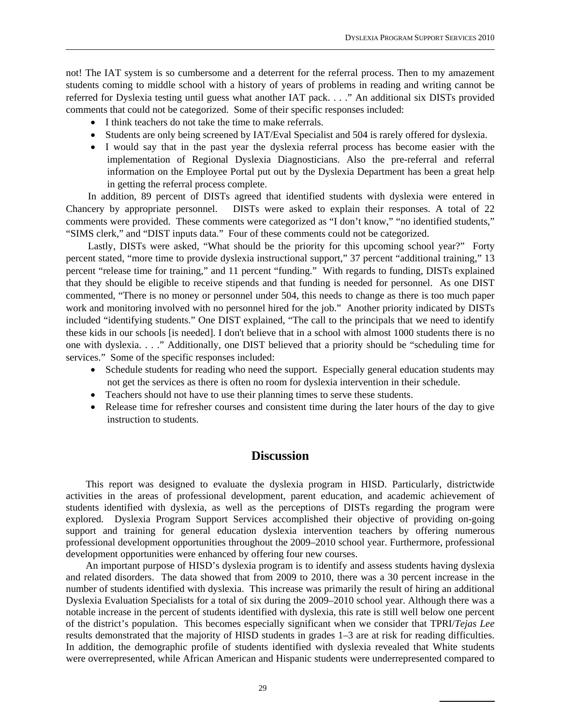not! The IAT system is so cumbersome and a deterrent for the referral process. Then to my amazement students coming to middle school with a history of years of problems in reading and writing cannot be referred for Dyslexia testing until guess what another IAT pack. . . ." An additional six DISTs provided comments that could not be categorized. Some of their specific responses included:

- I think teachers do not take the time to make referrals.
- Students are only being screened by IAT/Eval Specialist and 504 is rarely offered for dyslexia.
- I would say that in the past year the dyslexia referral process has become easier with the implementation of Regional Dyslexia Diagnosticians. Also the pre-referral and referral information on the Employee Portal put out by the Dyslexia Department has been a great help in getting the referral process complete.

 In addition, 89 percent of DISTs agreed that identified students with dyslexia were entered in Chancery by appropriate personnel. DISTs were asked to explain their responses. A total of 22 comments were provided. These comments were categorized as "I don't know," "no identified students," "SIMS clerk," and "DIST inputs data." Four of these comments could not be categorized.

 Lastly, DISTs were asked, "What should be the priority for this upcoming school year?" Forty percent stated, "more time to provide dyslexia instructional support," 37 percent "additional training," 13 percent "release time for training," and 11 percent "funding." With regards to funding, DISTs explained that they should be eligible to receive stipends and that funding is needed for personnel. As one DIST commented, "There is no money or personnel under 504, this needs to change as there is too much paper work and monitoring involved with no personnel hired for the job." Another priority indicated by DISTs included "identifying students." One DIST explained, "The call to the principals that we need to identify these kids in our schools [is needed]. I don't believe that in a school with almost 1000 students there is no one with dyslexia. . . ." Additionally, one DIST believed that a priority should be "scheduling time for services." Some of the specific responses included:

- Schedule students for reading who need the support. Especially general education students may not get the services as there is often no room for dyslexia intervention in their schedule.
- Teachers should not have to use their planning times to serve these students.
- Release time for refresher courses and consistent time during the later hours of the day to give instruction to students.

### **Discussion**

This report was designed to evaluate the dyslexia program in HISD. Particularly, districtwide activities in the areas of professional development, parent education, and academic achievement of students identified with dyslexia, as well as the perceptions of DISTs regarding the program were explored. Dyslexia Program Support Services accomplished their objective of providing on-going support and training for general education dyslexia intervention teachers by offering numerous professional development opportunities throughout the 2009–2010 school year. Furthermore, professional development opportunities were enhanced by offering four new courses.

 An important purpose of HISD's dyslexia program is to identify and assess students having dyslexia and related disorders. The data showed that from 2009 to 2010, there was a 30 percent increase in the number of students identified with dyslexia. This increase was primarily the result of hiring an additional Dyslexia Evaluation Specialists for a total of six during the 2009–2010 school year. Although there was a notable increase in the percent of students identified with dyslexia, this rate is still well below one percent of the district's population. This becomes especially significant when we consider that TPRI/*Tejas Lee* results demonstrated that the majority of HISD students in grades 1–3 are at risk for reading difficulties. In addition, the demographic profile of students identified with dyslexia revealed that White students were overrepresented, while African American and Hispanic students were underrepresented compared to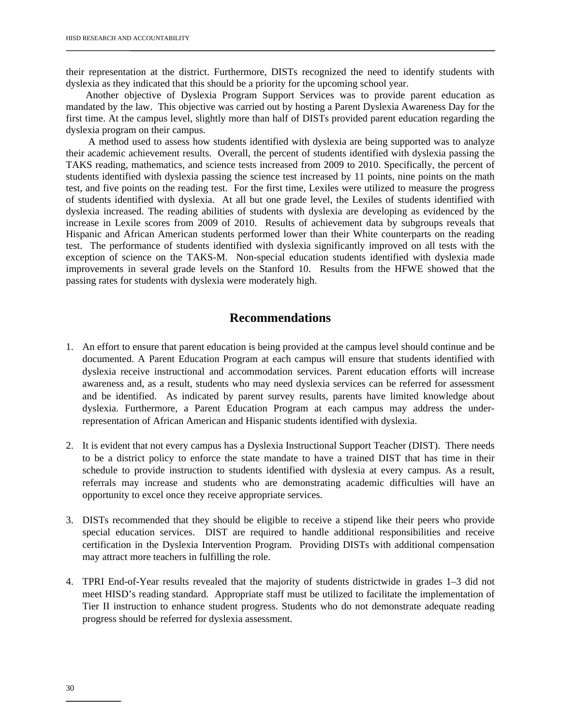their representation at the district. Furthermore, DISTs recognized the need to identify students with dyslexia as they indicated that this should be a priority for the upcoming school year.

 Another objective of Dyslexia Program Support Services was to provide parent education as mandated by the law. This objective was carried out by hosting a Parent Dyslexia Awareness Day for the first time. At the campus level, slightly more than half of DISTs provided parent education regarding the dyslexia program on their campus.

 A method used to assess how students identified with dyslexia are being supported was to analyze their academic achievement results. Overall, the percent of students identified with dyslexia passing the TAKS reading, mathematics, and science tests increased from 2009 to 2010. Specifically, the percent of students identified with dyslexia passing the science test increased by 11 points, nine points on the math test, and five points on the reading test. For the first time, Lexiles were utilized to measure the progress of students identified with dyslexia. At all but one grade level, the Lexiles of students identified with dyslexia increased. The reading abilities of students with dyslexia are developing as evidenced by the increase in Lexile scores from 2009 of 2010. Results of achievement data by subgroups reveals that Hispanic and African American students performed lower than their White counterparts on the reading test. The performance of students identified with dyslexia significantly improved on all tests with the exception of science on the TAKS-M. Non-special education students identified with dyslexia made improvements in several grade levels on the Stanford 10. Results from the HFWE showed that the passing rates for students with dyslexia were moderately high.

### **Recommendations**

- 1. An effort to ensure that parent education is being provided at the campus level should continue and be documented. A Parent Education Program at each campus will ensure that students identified with dyslexia receive instructional and accommodation services. Parent education efforts will increase awareness and, as a result, students who may need dyslexia services can be referred for assessment and be identified. As indicated by parent survey results, parents have limited knowledge about dyslexia. Furthermore, a Parent Education Program at each campus may address the underrepresentation of African American and Hispanic students identified with dyslexia.
- 2. It is evident that not every campus has a Dyslexia Instructional Support Teacher (DIST). There needs to be a district policy to enforce the state mandate to have a trained DIST that has time in their schedule to provide instruction to students identified with dyslexia at every campus. As a result, referrals may increase and students who are demonstrating academic difficulties will have an opportunity to excel once they receive appropriate services.
- 3. DISTs recommended that they should be eligible to receive a stipend like their peers who provide special education services. DIST are required to handle additional responsibilities and receive certification in the Dyslexia Intervention Program. Providing DISTs with additional compensation may attract more teachers in fulfilling the role.
- 4. TPRI End-of-Year results revealed that the majority of students districtwide in grades 1–3 did not meet HISD's reading standard. Appropriate staff must be utilized to facilitate the implementation of Tier II instruction to enhance student progress. Students who do not demonstrate adequate reading progress should be referred for dyslexia assessment.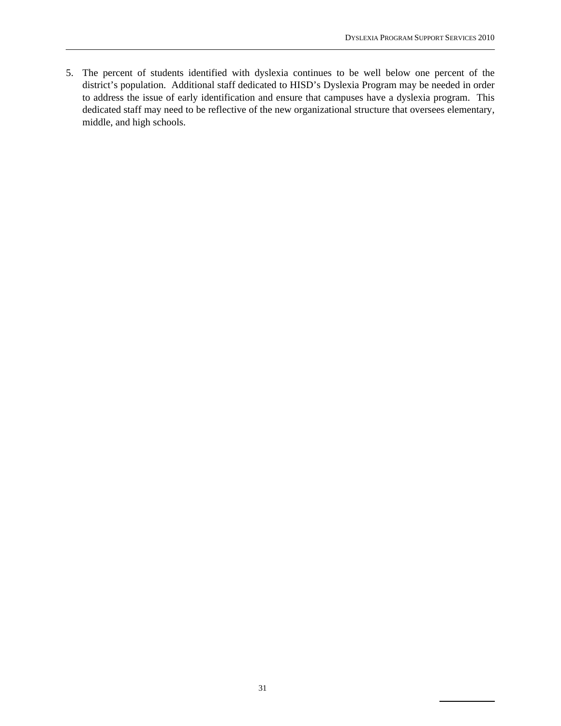5. The percent of students identified with dyslexia continues to be well below one percent of the district's population. Additional staff dedicated to HISD's Dyslexia Program may be needed in order to address the issue of early identification and ensure that campuses have a dyslexia program. This dedicated staff may need to be reflective of the new organizational structure that oversees elementary, middle, and high schools.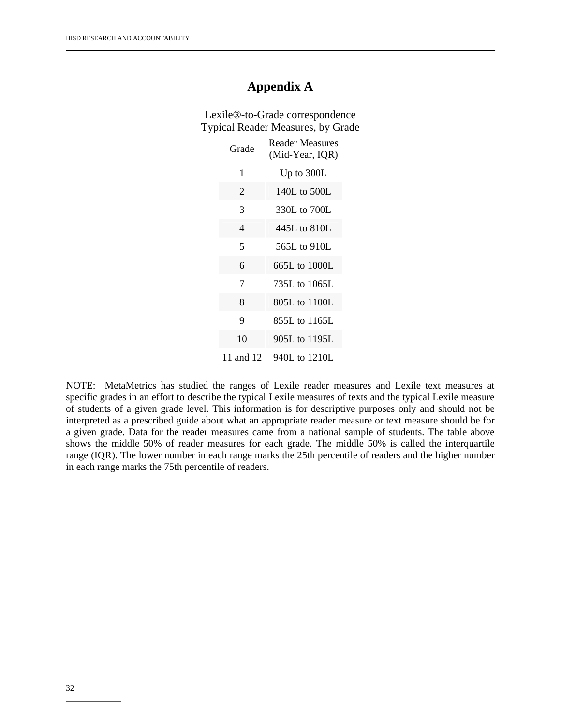## **Appendix A**

Lexile®-to-Grade correspondence Typical Reader Measures, by Grade

| Grade          | <b>Reader Measures</b><br>(Mid-Year, IQR) |
|----------------|-------------------------------------------|
| 1              | Up to 300L                                |
| $\overline{2}$ | 140L to 500L                              |
| 3              | 330L to 700L                              |
| 4              | 445L to 810L                              |
| 5              | 565L to $910L$                            |
| 6              | 665L to 1000L                             |
| 7              | 735L to 1065L                             |
| 8              | 805L to 1100L                             |
| 9              | 855L to 1165L                             |
| 10             | 905L to 1195L                             |
| 11 and 12      | 940L to 1210L                             |

NOTE: MetaMetrics has studied the ranges of Lexile reader measures and Lexile text measures at specific grades in an effort to describe the typical Lexile measures of texts and the typical Lexile measure of students of a given grade level. This information is for descriptive purposes only and should not be interpreted as a prescribed guide about what an appropriate reader measure or text measure should be for a given grade. Data for the reader measures came from a national sample of students. The table above shows the middle 50% of reader measures for each grade. The middle 50% is called the interquartile range (IQR). The lower number in each range marks the 25th percentile of readers and the higher number in each range marks the 75th percentile of readers.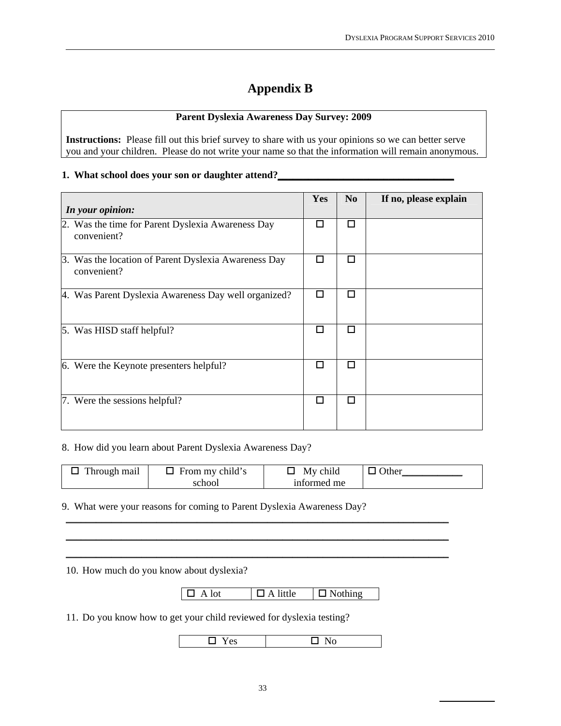## **Appendix B**

#### **Parent Dyslexia Awareness Day Survey: 2009**

**Instructions:** Please fill out this brief survey to share with us your opinions so we can better serve you and your children. Please do not write your name so that the information will remain anonymous.

#### **1. What school does your son or daughter attend?\_\_\_\_\_\_\_\_\_\_\_\_\_\_\_\_\_\_\_\_\_\_\_\_\_\_\_\_\_\_\_\_\_\_\_**

| In your opinion:                                                    | Yes | N <sub>0</sub> | If no, please explain |
|---------------------------------------------------------------------|-----|----------------|-----------------------|
| 2. Was the time for Parent Dyslexia Awareness Day<br>convenient?    | п   | п              |                       |
| 3. Was the location of Parent Dyslexia Awareness Day<br>convenient? | П   | п              |                       |
| 4. Was Parent Dyslexia Awareness Day well organized?                | □   | п              |                       |
| 5. Was HISD staff helpful?                                          | п   | п              |                       |
| 6. Were the Keynote presenters helpful?                             | п   | п              |                       |
| 7. Were the sessions helpful?                                       | П   | п              |                       |

#### 8. How did you learn about Parent Dyslexia Awareness Day?

| Through mail | $\Box$ From my child's | My child    | $\Box$ Other |
|--------------|------------------------|-------------|--------------|
|              | school                 | informed me |              |

\_\_\_\_\_\_\_\_\_\_\_\_\_\_\_\_\_\_\_\_\_\_\_\_\_\_\_\_\_\_\_\_\_\_\_\_\_\_\_\_\_\_\_\_\_\_\_\_\_\_\_\_\_\_\_\_\_\_\_\_\_\_\_\_\_\_\_\_\_\_\_\_\_\_\_\_ \_\_\_\_\_\_\_\_\_\_\_\_\_\_\_\_\_\_\_\_\_\_\_\_\_\_\_\_\_\_\_\_\_\_\_\_\_\_\_\_\_\_\_\_\_\_\_\_\_\_\_\_\_\_\_\_\_\_\_\_\_\_\_\_\_\_\_\_\_\_\_\_\_\_\_\_ \_\_\_\_\_\_\_\_\_\_\_\_\_\_\_\_\_\_\_\_\_\_\_\_\_\_\_\_\_\_\_\_\_\_\_\_\_\_\_\_\_\_\_\_\_\_\_\_\_\_\_\_\_\_\_\_\_\_\_\_\_\_\_\_\_\_\_\_\_\_\_\_\_\_\_\_

9. What were your reasons for coming to Parent Dyslexia Awareness Day?

10. How much do you know about dyslexia?

 $\boxed{\Box \text{ A lot}}$   $\boxed{\Box \text{ A little}}$   $\boxed{\Box \text{ Nothing}}$ 

11. Do you know how to get your child reviewed for dyslexia testing?

 $\Box$  Yes  $\Box$  No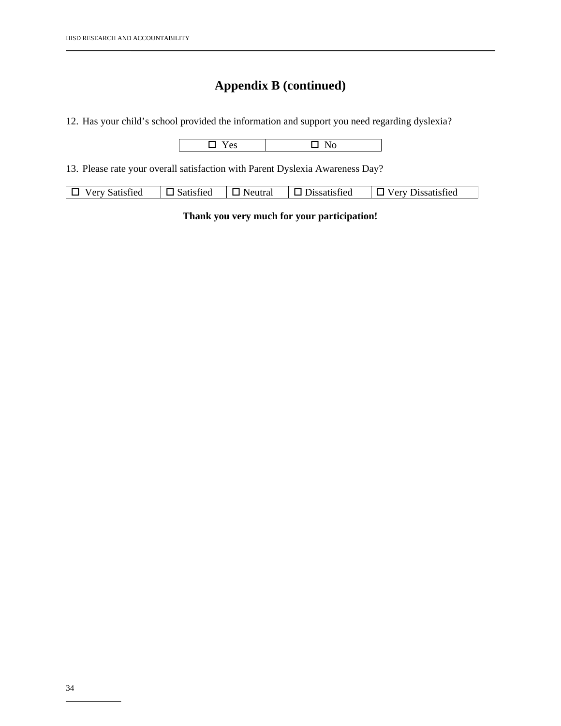12. Has your child's school provided the information and support you need regarding dyslexia?

|--|--|

13. Please rate your overall satisfaction with Parent Dyslexia Awareness Day?

| $\Box$ Very<br>$\neg$ Satisfied<br>$\neg$ Neutral<br>rv Satisfied<br><b>Dissatisfied</b><br>$\Box$ Dissatisfied<br><b>Very</b> |
|--------------------------------------------------------------------------------------------------------------------------------|
|--------------------------------------------------------------------------------------------------------------------------------|

**Thank you very much for your participation!**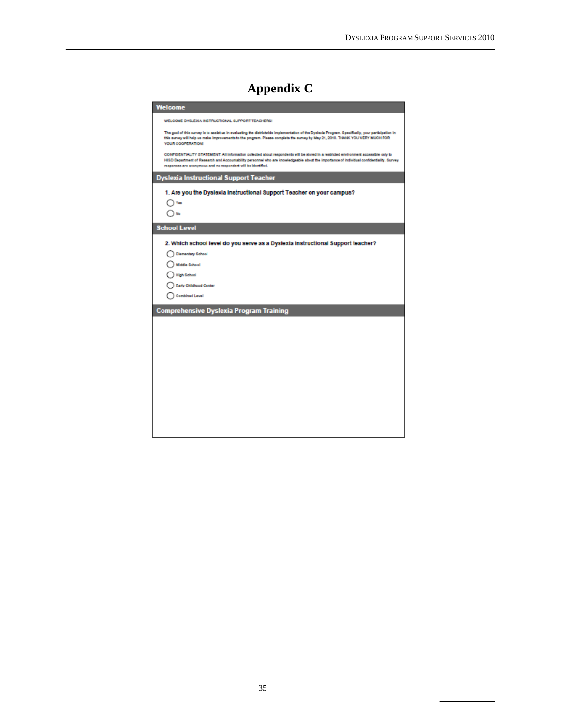## **Appendix C**

| Welcome                                                                                                                                                                                                                                                                                                                                            |
|----------------------------------------------------------------------------------------------------------------------------------------------------------------------------------------------------------------------------------------------------------------------------------------------------------------------------------------------------|
| WELCOME DYSLEXIA INSTRUCTIONAL SUPPORT TEACHERS!                                                                                                                                                                                                                                                                                                   |
| The goal of this survey is to assist us in evaluating the districtede implementation of the Dyslexia Program. Specifically, your participation in<br>this survey will help us make improvements to the program. Please complete the survey by May 21, 2010. THANK YOU VERY MUCH FOR<br>YOUR COOPERATION:                                           |
| CONFIDENTIALITY STATEMENT: All information collected about respondents will be stored in a restricted environment accessible only to<br>HISD Department of Research and Accountability personnel who are knowledgeable about the importance of individual confidentiality. Survey<br>responses are anonymous and no respondent will be identified. |
| <b>Dyslexia Instructional Support Teacher</b>                                                                                                                                                                                                                                                                                                      |
| 1. Are you the Dyslexia Instructional Support Teacher on your campus?                                                                                                                                                                                                                                                                              |
| Yes                                                                                                                                                                                                                                                                                                                                                |
|                                                                                                                                                                                                                                                                                                                                                    |
| <b>School Level</b>                                                                                                                                                                                                                                                                                                                                |
| 2. Which school level do you serve as a Dyslexia Instructional Support teacher?                                                                                                                                                                                                                                                                    |
| <b>Elementary School</b>                                                                                                                                                                                                                                                                                                                           |
| Middle School                                                                                                                                                                                                                                                                                                                                      |
| <b>High School</b>                                                                                                                                                                                                                                                                                                                                 |
| <b>Early Childhood Center</b>                                                                                                                                                                                                                                                                                                                      |
| <b>Combined Level</b>                                                                                                                                                                                                                                                                                                                              |
| <b>Comprehensive Dyslexia Program Training</b>                                                                                                                                                                                                                                                                                                     |
|                                                                                                                                                                                                                                                                                                                                                    |
|                                                                                                                                                                                                                                                                                                                                                    |
|                                                                                                                                                                                                                                                                                                                                                    |
|                                                                                                                                                                                                                                                                                                                                                    |
|                                                                                                                                                                                                                                                                                                                                                    |
|                                                                                                                                                                                                                                                                                                                                                    |
|                                                                                                                                                                                                                                                                                                                                                    |
|                                                                                                                                                                                                                                                                                                                                                    |
|                                                                                                                                                                                                                                                                                                                                                    |
|                                                                                                                                                                                                                                                                                                                                                    |
|                                                                                                                                                                                                                                                                                                                                                    |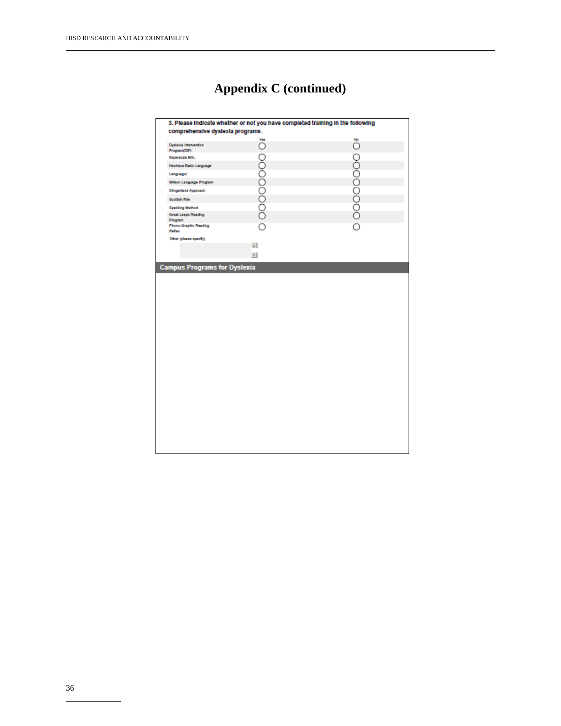| comprehensive dyslexia programs.      |                  |               |
|---------------------------------------|------------------|---------------|
|                                       |                  |               |
| Dyslexia Intervention<br>Program(DIP) | <b>DOOOOOOO!</b> | o ooooooooooo |
| Esperanza MGL                         |                  |               |
| Neuhaus Basic Language                |                  |               |
| Language!                             |                  |               |
| Wison Language Program                |                  |               |
| <b>Slingerland Approach</b>           |                  |               |
| <b>Scottish Ribe</b>                  |                  |               |
| <b>Spaiding Method</b>                |                  |               |
| <b>Great Leaps Reading</b><br>Program |                  |               |
| Phone-Graphix Reading                 | $\circ$          |               |
| Ration                                |                  |               |
| Other (please specify)                | $\omega$         |               |
|                                       |                  |               |
|                                       | $\tau$ .         |               |
|                                       |                  |               |
| <b>Campus Programs for Dyslexia</b>   |                  |               |
|                                       |                  |               |
|                                       |                  |               |
|                                       |                  |               |
|                                       |                  |               |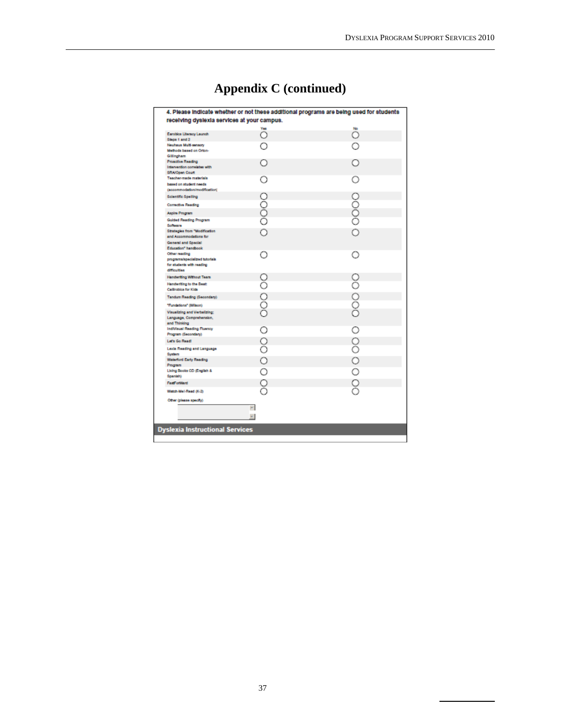|  |  | <b>Appendix C (continued)</b> |
|--|--|-------------------------------|
|--|--|-------------------------------|

|                                                             |          | 4. Please indicate whether or not these additional programs are being used for students |
|-------------------------------------------------------------|----------|-----------------------------------------------------------------------------------------|
| receiving dyslexia services at your campus.                 |          |                                                                                         |
|                                                             |          |                                                                                         |
| Earobics Literacy Launch                                    | Ω        | Ö                                                                                       |
| Steps 1 and 2<br>Neuhaus Multi-sensory                      |          |                                                                                         |
| Methods based on Orton-                                     |          |                                                                                         |
| Gillingham                                                  |          |                                                                                         |
| <b>Proactive Reading</b>                                    |          |                                                                                         |
| Intervention correlates with                                |          |                                                                                         |
| SRA/Open Court<br>Teacher-made materials                    |          |                                                                                         |
| based on student needs                                      |          |                                                                                         |
| (accommodation/modification)                                |          |                                                                                         |
| <b>Scientific Spelling</b>                                  |          |                                                                                         |
| Corrective Reading                                          |          |                                                                                         |
|                                                             |          |                                                                                         |
| Aspire Program                                              | ŏ        | 0000                                                                                    |
| <b>Guided Reading Program</b><br>Software                   |          |                                                                                         |
| Strategies from "Modification                               |          |                                                                                         |
| and Accommodations for                                      |          |                                                                                         |
| General and Special                                         |          |                                                                                         |
| Education" handbook                                         |          |                                                                                         |
| Other reading                                               |          | ( )                                                                                     |
| programa/specialized tutorials<br>for students with reading |          |                                                                                         |
| difficulties                                                |          |                                                                                         |
| <b>Handerbing Without Tears</b>                             |          |                                                                                         |
| Handwriting to the Beat:                                    |          |                                                                                         |
| Callinobica for Kids                                        |          |                                                                                         |
| Tandum Reading (Secondary)                                  | ooo      | 00 OO                                                                                   |
| "Fundations" (Wilson)                                       |          |                                                                                         |
| Visualizing and Verbalizing;                                |          |                                                                                         |
| Language, Comprehension,                                    |          |                                                                                         |
| and Thinking                                                |          |                                                                                         |
| IndiVisual Reading Fluency<br>Program (Secondary)           |          |                                                                                         |
| Lef's Go Read!                                              |          |                                                                                         |
| Lexia Reading and Language                                  | 8        |                                                                                         |
| System                                                      |          |                                                                                         |
| Waterford Early Reading                                     | Ō        |                                                                                         |
| Program                                                     |          |                                                                                         |
| Living Books CD (English &                                  |          |                                                                                         |
| Spanish)<br><b>FastForWard</b>                              |          |                                                                                         |
|                                                             | ႙        | 0000000                                                                                 |
| Watch-Mel-Read (K-2)                                        |          |                                                                                         |
| Other (please specify)                                      |          |                                                                                         |
|                                                             | $\omega$ |                                                                                         |
|                                                             | $\pm$    |                                                                                         |
|                                                             |          |                                                                                         |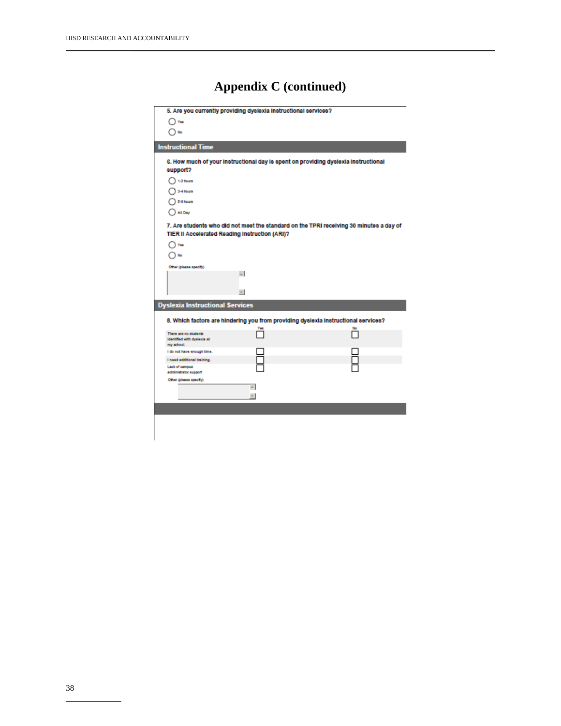|                                                      | 5. Are you currently providing dyslexia instructional services? |                                                                                          |
|------------------------------------------------------|-----------------------------------------------------------------|------------------------------------------------------------------------------------------|
| Yes                                                  |                                                                 |                                                                                          |
| No                                                   |                                                                 |                                                                                          |
|                                                      |                                                                 |                                                                                          |
| <b>Instructional Time</b>                            |                                                                 |                                                                                          |
|                                                      |                                                                 | 6. How much of your instructional day is spent on providing dyslexia instructional       |
| support?                                             |                                                                 |                                                                                          |
| 1-2 hours                                            |                                                                 |                                                                                          |
| 3-4 hours                                            |                                                                 |                                                                                          |
| 5-6 hours                                            |                                                                 |                                                                                          |
| <b>All Day</b>                                       |                                                                 |                                                                                          |
|                                                      |                                                                 | 7. Are students who did not meet the standard on the TPRI receiving 30 minutes a day of  |
| TIER II Accelerated Reading Instruction (ARI)?       |                                                                 |                                                                                          |
| Yes.                                                 |                                                                 |                                                                                          |
|                                                      |                                                                 |                                                                                          |
| Other (please specify)                               |                                                                 |                                                                                          |
|                                                      | u.                                                              |                                                                                          |
|                                                      |                                                                 |                                                                                          |
|                                                      | $\pm$                                                           |                                                                                          |
| <b>Dyslexia Instructional Services</b>               |                                                                 |                                                                                          |
|                                                      |                                                                 |                                                                                          |
|                                                      | Yes                                                             | 8. Which factors are hindering you from providing dyslexia instructional services?<br>No |
| There are no students<br>identified with dyslexia at |                                                                 |                                                                                          |
| my school.                                           |                                                                 |                                                                                          |
| I do not have enough time.                           |                                                                 |                                                                                          |
| I need additional training.<br><b>Lack of campus</b> |                                                                 |                                                                                          |
| administrator support                                |                                                                 |                                                                                          |
| Other (please specify)                               | ×.                                                              |                                                                                          |
|                                                      |                                                                 |                                                                                          |
|                                                      |                                                                 |                                                                                          |
|                                                      |                                                                 |                                                                                          |
|                                                      |                                                                 |                                                                                          |
|                                                      |                                                                 |                                                                                          |
|                                                      |                                                                 |                                                                                          |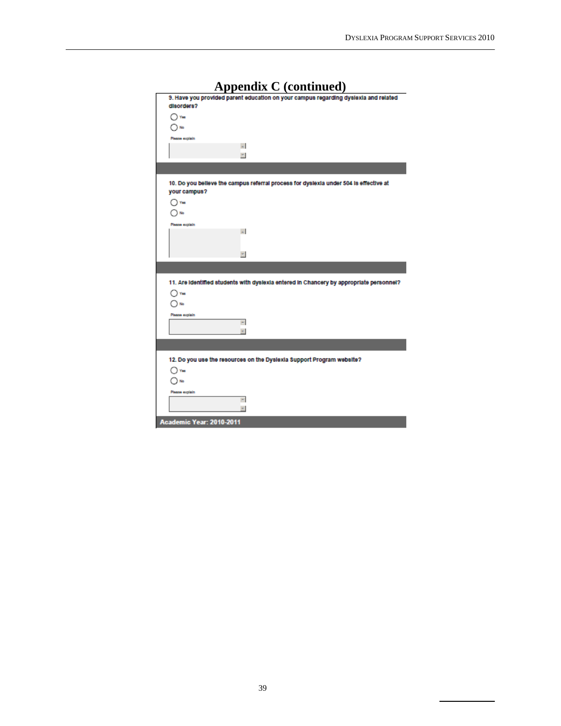| 9. Have you provided parent education on your campus regarding dyslexia and related<br>disorders?<br>) Yes<br>Please explain<br>$\Delta$<br>$\overline{\tau}$<br>10. Do you believe the campus referral process for dyslexia under 504 is effective at<br>your campus?<br>$\gamma$ Yes<br>No<br>Please explain<br>$\omega$<br>$\boldsymbol{\pi}$<br>11. Are identified students with dyslexia entered in Chancery by appropriate personnel?<br>) Yes<br>) No<br>Please explain<br>$\sim$<br>$\overline{\phantom{a}}$<br>12. Do you use the resources on the Dyslexia Support Program website?<br>$\bigcap$ Yes<br>$\Box$ No<br>Please explain<br>$\sim$<br>$\overline{\phantom{a}}$<br>Academic Year: 2010-2011 | Appendix C (continued) |
|-----------------------------------------------------------------------------------------------------------------------------------------------------------------------------------------------------------------------------------------------------------------------------------------------------------------------------------------------------------------------------------------------------------------------------------------------------------------------------------------------------------------------------------------------------------------------------------------------------------------------------------------------------------------------------------------------------------------|------------------------|
|                                                                                                                                                                                                                                                                                                                                                                                                                                                                                                                                                                                                                                                                                                                 |                        |
|                                                                                                                                                                                                                                                                                                                                                                                                                                                                                                                                                                                                                                                                                                                 |                        |
|                                                                                                                                                                                                                                                                                                                                                                                                                                                                                                                                                                                                                                                                                                                 |                        |
|                                                                                                                                                                                                                                                                                                                                                                                                                                                                                                                                                                                                                                                                                                                 |                        |
|                                                                                                                                                                                                                                                                                                                                                                                                                                                                                                                                                                                                                                                                                                                 |                        |
|                                                                                                                                                                                                                                                                                                                                                                                                                                                                                                                                                                                                                                                                                                                 |                        |
|                                                                                                                                                                                                                                                                                                                                                                                                                                                                                                                                                                                                                                                                                                                 |                        |
|                                                                                                                                                                                                                                                                                                                                                                                                                                                                                                                                                                                                                                                                                                                 |                        |
|                                                                                                                                                                                                                                                                                                                                                                                                                                                                                                                                                                                                                                                                                                                 |                        |
|                                                                                                                                                                                                                                                                                                                                                                                                                                                                                                                                                                                                                                                                                                                 |                        |
|                                                                                                                                                                                                                                                                                                                                                                                                                                                                                                                                                                                                                                                                                                                 |                        |
|                                                                                                                                                                                                                                                                                                                                                                                                                                                                                                                                                                                                                                                                                                                 |                        |
|                                                                                                                                                                                                                                                                                                                                                                                                                                                                                                                                                                                                                                                                                                                 |                        |
|                                                                                                                                                                                                                                                                                                                                                                                                                                                                                                                                                                                                                                                                                                                 |                        |
|                                                                                                                                                                                                                                                                                                                                                                                                                                                                                                                                                                                                                                                                                                                 |                        |
|                                                                                                                                                                                                                                                                                                                                                                                                                                                                                                                                                                                                                                                                                                                 |                        |
|                                                                                                                                                                                                                                                                                                                                                                                                                                                                                                                                                                                                                                                                                                                 |                        |
|                                                                                                                                                                                                                                                                                                                                                                                                                                                                                                                                                                                                                                                                                                                 |                        |
|                                                                                                                                                                                                                                                                                                                                                                                                                                                                                                                                                                                                                                                                                                                 |                        |
|                                                                                                                                                                                                                                                                                                                                                                                                                                                                                                                                                                                                                                                                                                                 |                        |
|                                                                                                                                                                                                                                                                                                                                                                                                                                                                                                                                                                                                                                                                                                                 |                        |
|                                                                                                                                                                                                                                                                                                                                                                                                                                                                                                                                                                                                                                                                                                                 |                        |
|                                                                                                                                                                                                                                                                                                                                                                                                                                                                                                                                                                                                                                                                                                                 |                        |
|                                                                                                                                                                                                                                                                                                                                                                                                                                                                                                                                                                                                                                                                                                                 |                        |
|                                                                                                                                                                                                                                                                                                                                                                                                                                                                                                                                                                                                                                                                                                                 |                        |
|                                                                                                                                                                                                                                                                                                                                                                                                                                                                                                                                                                                                                                                                                                                 |                        |
|                                                                                                                                                                                                                                                                                                                                                                                                                                                                                                                                                                                                                                                                                                                 |                        |
|                                                                                                                                                                                                                                                                                                                                                                                                                                                                                                                                                                                                                                                                                                                 |                        |
|                                                                                                                                                                                                                                                                                                                                                                                                                                                                                                                                                                                                                                                                                                                 |                        |
|                                                                                                                                                                                                                                                                                                                                                                                                                                                                                                                                                                                                                                                                                                                 |                        |
|                                                                                                                                                                                                                                                                                                                                                                                                                                                                                                                                                                                                                                                                                                                 |                        |
|                                                                                                                                                                                                                                                                                                                                                                                                                                                                                                                                                                                                                                                                                                                 |                        |
|                                                                                                                                                                                                                                                                                                                                                                                                                                                                                                                                                                                                                                                                                                                 |                        |
|                                                                                                                                                                                                                                                                                                                                                                                                                                                                                                                                                                                                                                                                                                                 |                        |
|                                                                                                                                                                                                                                                                                                                                                                                                                                                                                                                                                                                                                                                                                                                 |                        |